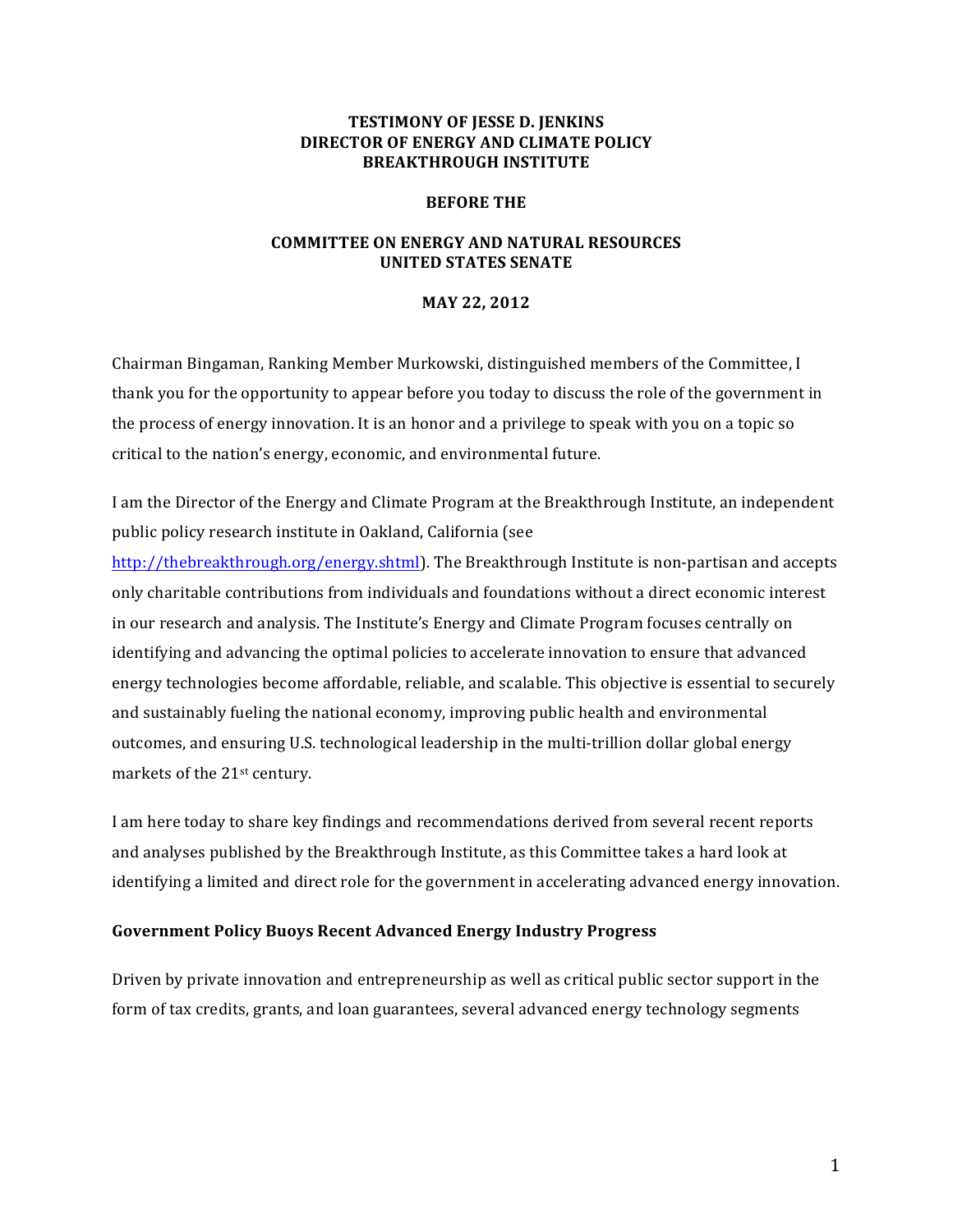## **TESTIMONY OF JESSE D. JENKINS DIRECTOR OF ENERGY AND CLIMATE POLICY BREAKTHROUGH INSTITUTE**

### **BEFORE THE**

## **COMMITTEE ON ENERGY AND NATURAL RESOURCES UNITED STATES SENATE**

## **MAY 22, 2012**

Chairman Bingaman, Ranking Member Murkowski, distinguished members of the Committee, I thank you for the opportunity to appear before you today to discuss the role of the government in the process of energy innovation. It is an honor and a privilege to speak with you on a topic so critical to the nation's energy, economic, and environmental future.

I am the Director of the Energy and Climate Program at the Breakthrough Institute, an independent public policy research institute in Oakland, California (see

http://thebreakthrough.org/energy.shtml). The Breakthrough Institute is non-partisan and accepts only charitable contributions from individuals and foundations without a direct economic interest in our research and analysis. The Institute's Energy and Climate Program focuses centrally on identifying and advancing the optimal policies to accelerate innovation to ensure that advanced energy technologies become affordable, reliable, and scalable. This objective is essential to securely and sustainably fueling the national economy, improving public health and environmental outcomes, and ensuring U.S. technological leadership in the multi-trillion dollar global energy markets of the 21<sup>st</sup> century.

I am here today to share key findings and recommendations derived from several recent reports and analyses published by the Breakthrough Institute, as this Committee takes a hard look at identifying a limited and direct role for the government in accelerating advanced energy innovation.

## **Government Policy Buoys Recent Advanced Energy Industry Progress**

Driven by private innovation and entrepreneurship as well as critical public sector support in the form of tax credits, grants, and loan guarantees, several advanced energy technology segments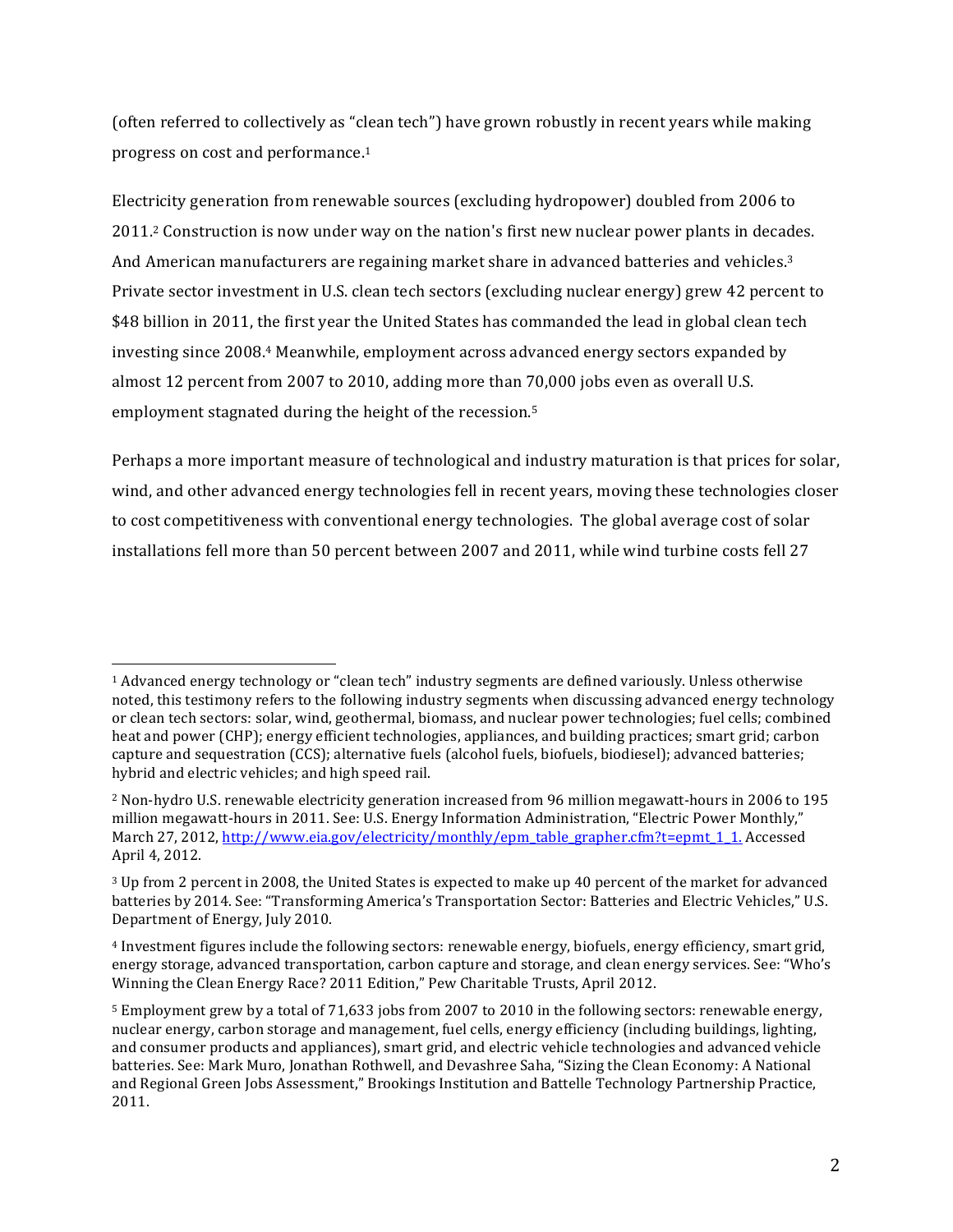(often referred to collectively as "clean tech") have grown robustly in recent years while making progress on cost and performance.<sup>1</sup>

Electricity generation from renewable sources (excluding hydropower) doubled from 2006 to 2011.<sup>2</sup> Construction is now under way on the nation's first new nuclear power plants in decades. And American manufacturers are regaining market share in advanced batteries and vehicles.<sup>3</sup> Private sector investment in U.S. clean tech sectors (excluding nuclear energy) grew 42 percent to \$48 billion in 2011, the first year the United States has commanded the lead in global clean tech investing since 2008.4 Meanwhile, employment across advanced energy sectors expanded by almost 12 percent from 2007 to 2010, adding more than  $70,000$  jobs even as overall U.S. employment stagnated during the height of the recession.<sup>5</sup>

Perhaps a more important measure of technological and industry maturation is that prices for solar, wind, and other advanced energy technologies fell in recent years, moving these technologies closer to cost competitiveness with conventional energy technologies. The global average cost of solar installations fell more than 50 percent between 2007 and 2011, while wind turbine costs fell 27

<sup>&</sup>lt;sup>1</sup> Advanced energy technology or "clean tech" industry segments are defined variously. Unless otherwise noted, this testimony refers to the following industry segments when discussing advanced energy technology or clean tech sectors: solar, wind, geothermal, biomass, and nuclear power technologies; fuel cells; combined heat and power (CHP); energy efficient technologies, appliances, and building practices; smart grid; carbon capture and sequestration (CCS); alternative fuels (alcohol fuels, biofuels, biodiesel); advanced batteries; hybrid and electric vehicles; and high speed rail.

<sup>&</sup>lt;sup>2</sup> Non-hydro U.S. renewable electricity generation increased from 96 million megawatt-hours in 2006 to 195 million megawatt-hours in 2011. See: U.S. Energy Information Administration, "Electric Power Monthly," March 27, 2012, http://www.eia.gov/electricity/monthly/epm\_table\_grapher.cfm?t=epmt\_1\_1. Accessed April 4, 2012.

<sup>&</sup>lt;sup>3</sup> Up from 2 percent in 2008, the United States is expected to make up 40 percent of the market for advanced batteries by 2014. See: "Transforming America's Transportation Sector: Batteries and Electric Vehicles," U.S. Department of Energy, July 2010.

<sup>&</sup>lt;sup>4</sup> Investment figures include the following sectors: renewable energy, biofuels, energy efficiency, smart grid, energy storage, advanced transportation, carbon capture and storage, and clean energy services. See: "Who's Winning the Clean Energy Race? 2011 Edition," Pew Charitable Trusts, April 2012.

<sup>&</sup>lt;sup>5</sup> Employment grew by a total of 71,633 jobs from 2007 to 2010 in the following sectors: renewable energy, nuclear energy, carbon storage and management, fuel cells, energy efficiency (including buildings, lighting, and consumer products and appliances), smart grid, and electric vehicle technologies and advanced vehicle batteries. See: Mark Muro, Jonathan Rothwell, and Devashree Saha, "Sizing the Clean Economy: A National and Regional Green Jobs Assessment," Brookings Institution and Battelle Technology Partnership Practice, 2011.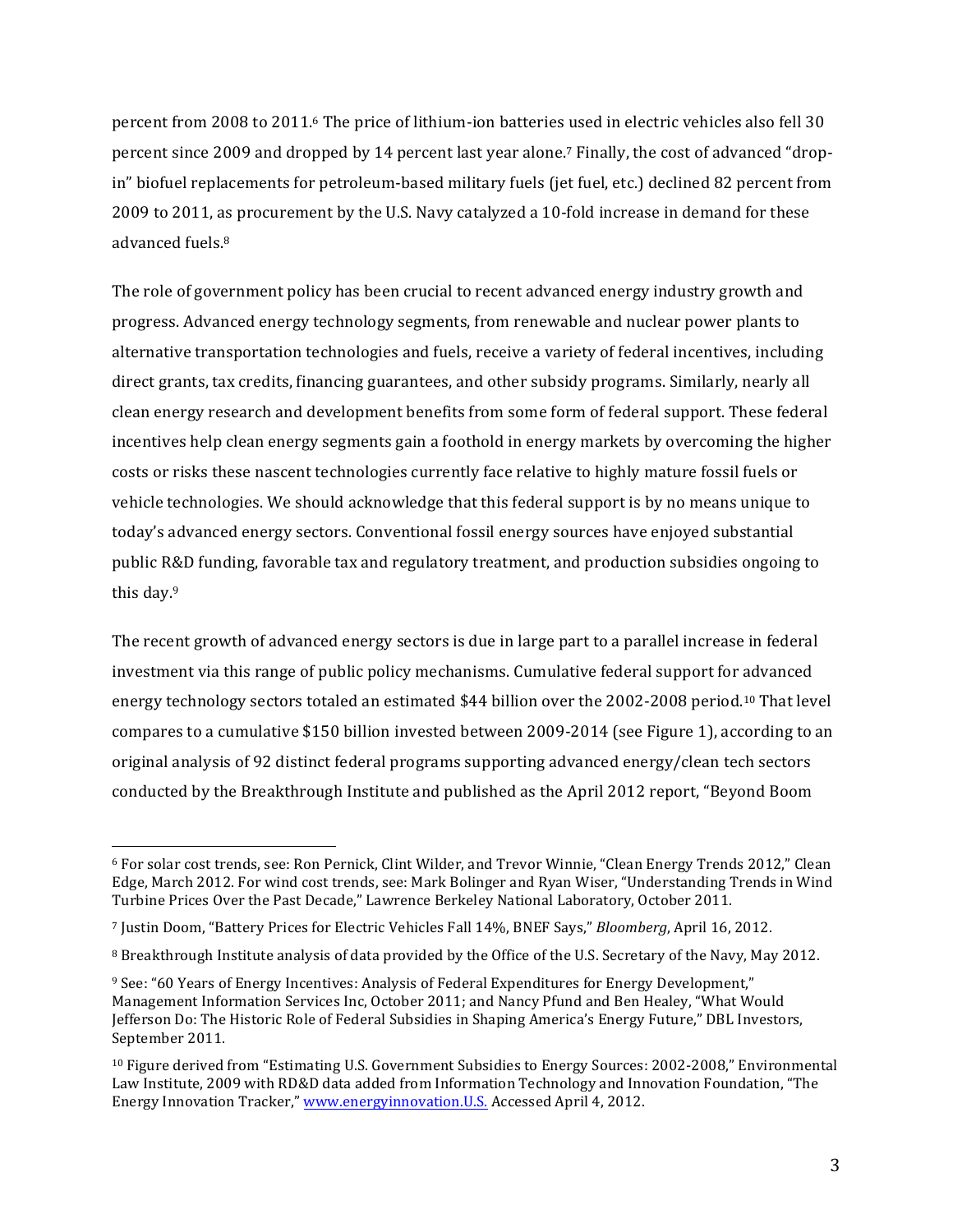percent from 2008 to 2011.<sup>6</sup> The price of lithium-ion batteries used in electric vehicles also fell 30 percent since 2009 and dropped by 14 percent last year alone.<sup>7</sup> Finally, the cost of advanced "dropin" biofuel replacements for petroleum-based military fuels (jet fuel, etc.) declined 82 percent from 2009 to 2011, as procurement by the U.S. Navy catalyzed a 10-fold increase in demand for these advanced fuels.<sup>8</sup>

The role of government policy has been crucial to recent advanced energy industry growth and progress. Advanced energy technology segments, from renewable and nuclear power plants to alternative transportation technologies and fuels, receive a variety of federal incentives, including direct grants, tax credits, financing guarantees, and other subsidy programs. Similarly, nearly all clean energy research and development benefits from some form of federal support. These federal incentives help clean energy segments gain a foothold in energy markets by overcoming the higher costs or risks these nascent technologies currently face relative to highly mature fossil fuels or vehicle technologies. We should acknowledge that this federal support is by no means unique to today's advanced energy sectors. Conventional fossil energy sources have enjoyed substantial public R&D funding, favorable tax and regulatory treatment, and production subsidies ongoing to this day. $9$ 

The recent growth of advanced energy sectors is due in large part to a parallel increase in federal investment via this range of public policy mechanisms. Cumulative federal support for advanced energy technology sectors totaled an estimated \$44 billion over the 2002-2008 period.<sup>10</sup> That level compares to a cumulative \$150 billion invested between 2009-2014 (see Figure 1), according to an original analysis of 92 distinct federal programs supporting advanced energy/clean tech sectors conducted by the Breakthrough Institute and published as the April 2012 report, "Beyond Boom

<sup>&</sup>lt;sup>6</sup> For solar cost trends, see: Ron Pernick, Clint Wilder, and Trevor Winnie, "Clean Energy Trends 2012," Clean Edge, March 2012. For wind cost trends, see: Mark Bolinger and Ryan Wiser, "Understanding Trends in Wind Turbine Prices Over the Past Decade," Lawrence Berkeley National Laboratory, October 2011.

<sup>&</sup>lt;sup>7</sup> Justin Doom, "Battery Prices for Electric Vehicles Fall 14%, BNEF Says," *Bloomberg*, April 16, 2012.

<sup>&</sup>lt;sup>8</sup> Breakthrough Institute analysis of data provided by the Office of the U.S. Secretary of the Navy, May 2012.

<sup>9</sup> See: "60 Years of Energy Incentives: Analysis of Federal Expenditures for Energy Development," Management Information Services Inc, October 2011; and Nancy Pfund and Ben Healey, "What Would Jefferson Do: The Historic Role of Federal Subsidies in Shaping America's Energy Future," DBL Investors, September 2011.

 $10$  Figure derived from "Estimating U.S. Government Subsidies to Energy Sources:  $2002$ -2008," Environmental Law Institute, 2009 with RD&D data added from Information Technology and Innovation Foundation, "The Energy Innovation Tracker," www.energyinnovation.U.S. Accessed April 4, 2012.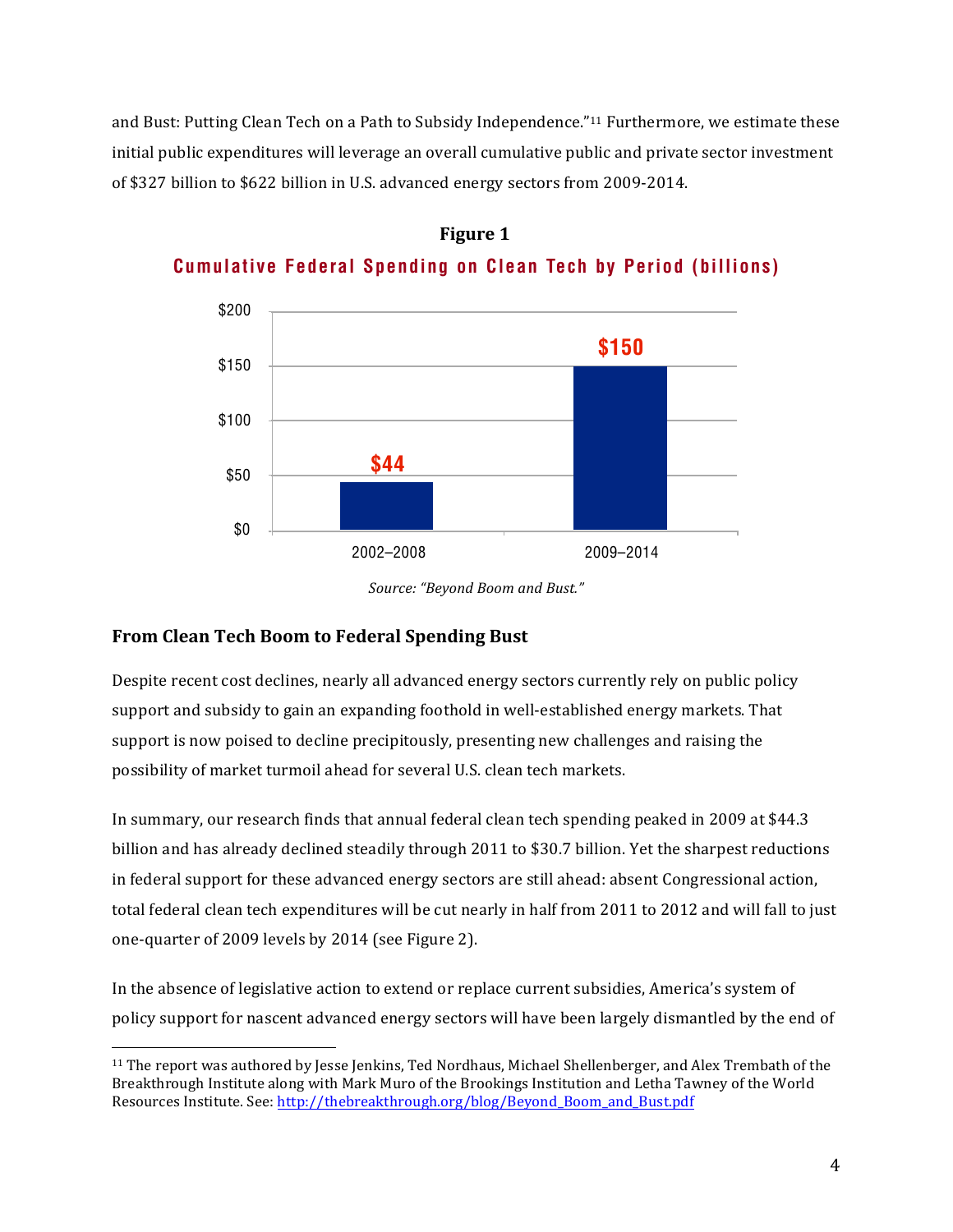and Bust: Putting Clean Tech on a Path to Subsidy Independence."<sup>11</sup> Furthermore, we estimate these initial public expenditures will leverage an overall cumulative public and private sector investment of \$327 billion to \$622 billion in U.S. advanced energy sectors from 2009-2014. benefitting renewable electricity sources, and a variety of federal tax credits for alcohol fuels and biodiesel.



**Figure 2 Figure 1Cumulative Federal Spending on Clean Tech by Period (billions)**

# **From Clean Tech Boom to Federal Spending Bust**

Despite recent cost declines, nearly all advanced energy sectors currently rely on public policy support and subsidy to gain an expanding foothold in well-established energy markets. That support is now poised to decline precipitously, presenting new challenges and raising the possibility of market turmoil ahead for several U.S. clean tech markets. opment benefits from some form of federal support. These federal incentives help clean energy segments possibility of firancet turnion alicau for several o.s. cicali tech markets.

In summary, our research finds that annual federal clean tech spending peaked in 2009 at \$44.3 billion and has already declined steadily through 2011 to \$30.7 billion. Yet the sharpest reductions in federal support for these advanced energy sectors are still ahead: absent Congressional action, total federal clean tech expenditures will be cut nearly in half from 2011 to 2012 and will fall to just one-quarter of 2009 levels by 2014 (see Figure 2). currently face relative to highly mature fossil fuels or vehicle technologies. like advanced batteries and vehicles, solar panels, and wind turbines, and other technologies.

In the absence of legislative action to extend or replace current subsidies, America's system of policy support for nascent advanced energy sectors will have been largely dismantled by the end of

*Source: "Beyond Boom and Bust."*

  $11$  The report was authored by Jesse Jenkins, Ted Nordhaus, Michael Shellenberger, and Alex Trembath of the Breakthrough Institute along with Mark Muro of the Brookings Institution and Letha Tawney of the World Resources Institute. See: http://thebreakthrough.org/blog/Beyond\_Boom\_and\_Bust.pdf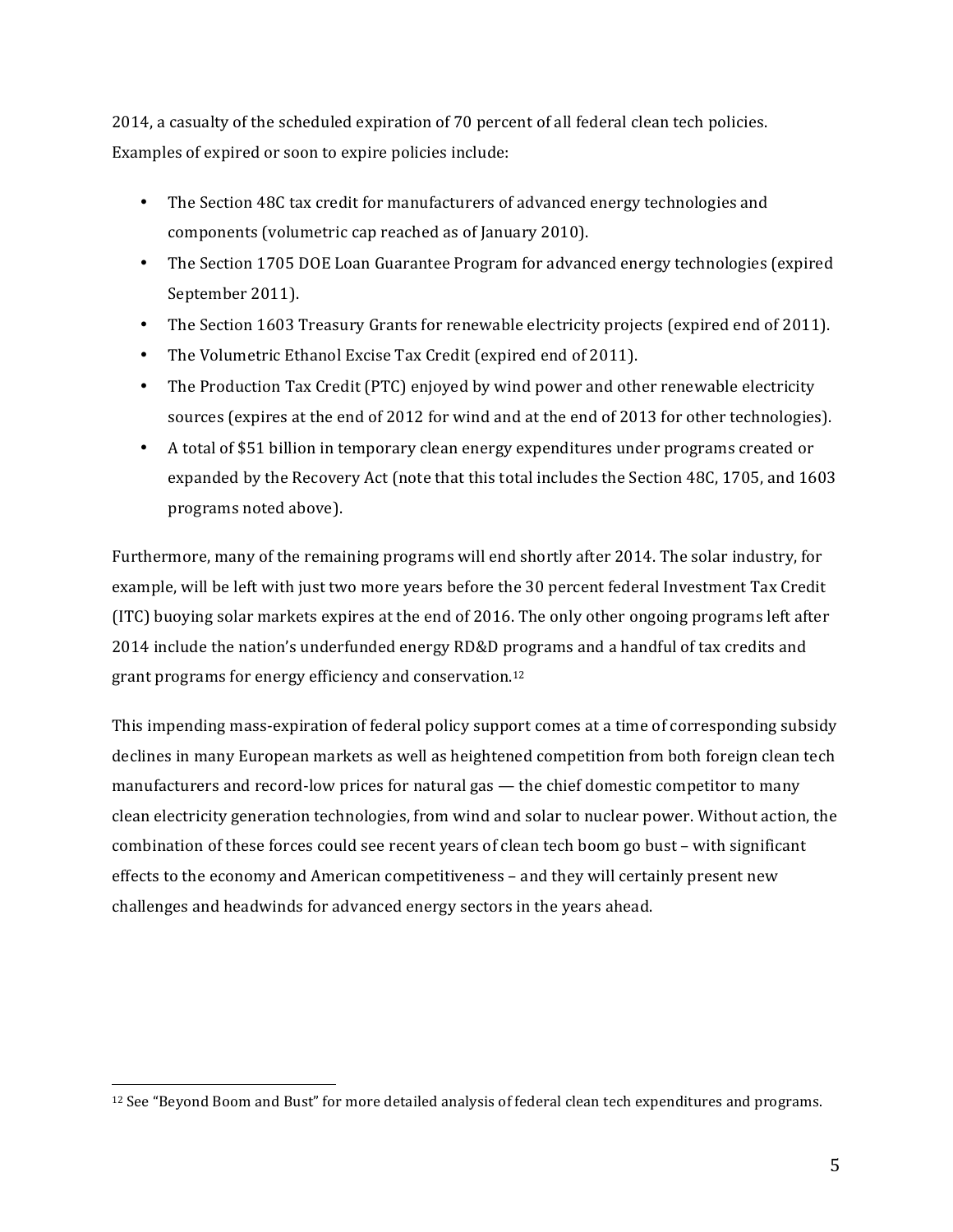2014, a casualty of the scheduled expiration of 70 percent of all federal clean tech policies. Examples of expired or soon to expire policies include:

- The Section 48C tax credit for manufacturers of advanced energy technologies and components (volumetric cap reached as of January 2010).
- The Section 1705 DOE Loan Guarantee Program for advanced energy technologies (expired September 2011).
- The Section 1603 Treasury Grants for renewable electricity projects (expired end of 2011).
- The Volumetric Ethanol Excise Tax Credit (expired end of 2011).
- The Production Tax Credit (PTC) enjoyed by wind power and other renewable electricity sources (expires at the end of 2012 for wind and at the end of 2013 for other technologies).
- A total of \$51 billion in temporary clean energy expenditures under programs created or expanded by the Recovery Act (note that this total includes the Section 48C, 1705, and 1603 programs noted above).

Furthermore, many of the remaining programs will end shortly after 2014. The solar industry, for example, will be left with just two more years before the 30 percent federal Investment Tax Credit (ITC) buoying solar markets expires at the end of 2016. The only other ongoing programs left after 2014 include the nation's underfunded energy RD&D programs and a handful of tax credits and grant programs for energy efficiency and conservation.<sup>12</sup>

This impending mass-expiration of federal policy support comes at a time of corresponding subsidy declines in many European markets as well as heightened competition from both foreign clean tech manufacturers and record-low prices for natural gas — the chief domestic competitor to many clean electricity generation technologies, from wind and solar to nuclear power. Without action, the combination of these forces could see recent years of clean tech boom go bust – with significant effects to the economy and American competitiveness – and they will certainly present new challenges and headwinds for advanced energy sectors in the years ahead.

<sup>&</sup>lt;sup>12</sup> See "Beyond Boom and Bust" for more detailed analysis of federal clean tech expenditures and programs.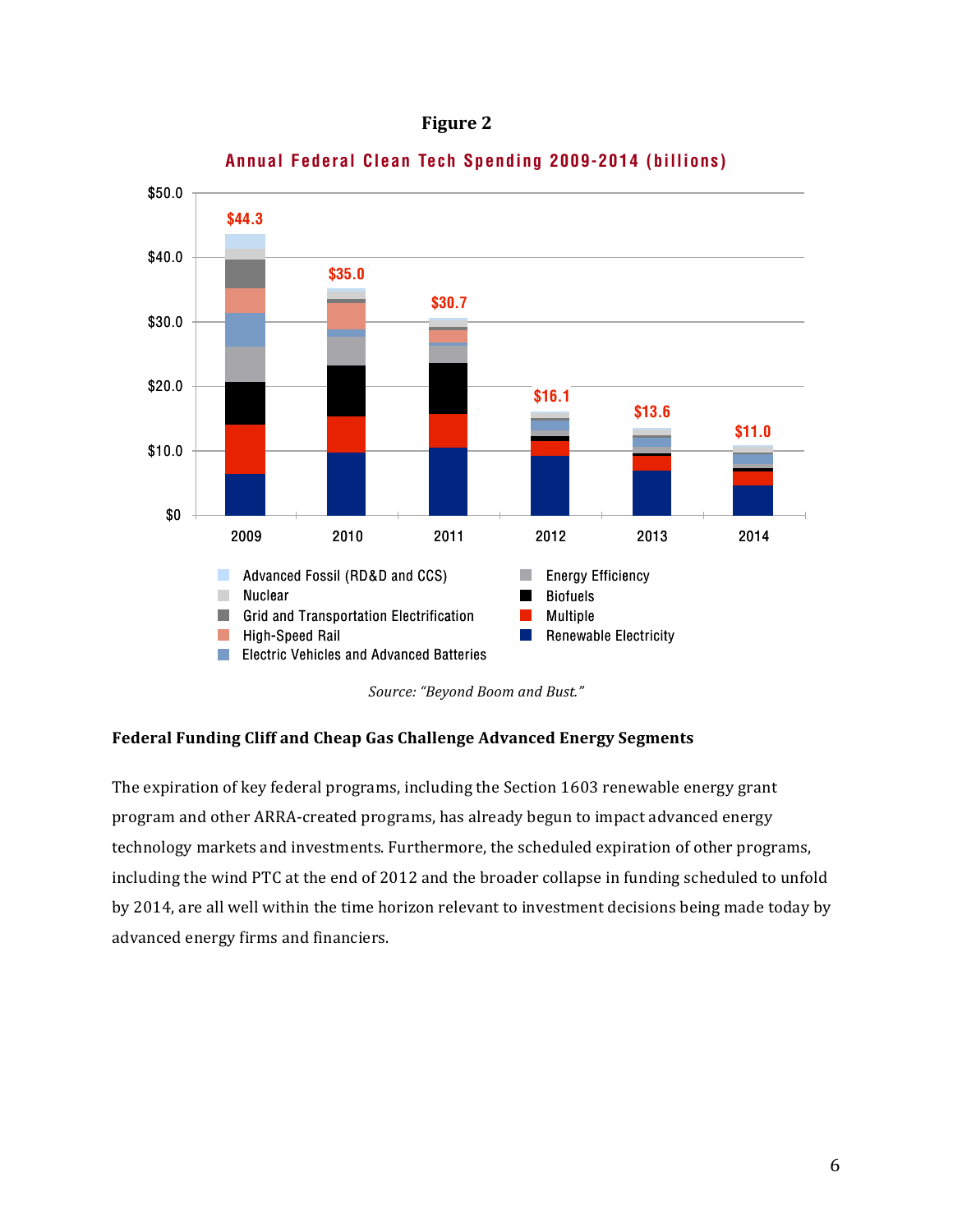



**Annual Federal Clean Tech Spending 2009-2014 (billions) Federal Clean Tech Spending by Year (billions)**

Source: "Beyond Boom and Bust."

#### Federal Funding Cliff and Cheap Gas Challenge Advanced Energy Segments **14 14 B E Y O N D B O O M & B U S T**

The expiration of key federal programs, including the Section  $1603$  renewable energy grant program and other ARRA-created programs, has already begun to impact advanced energy technology markets and investments. Furthermore, the scheduled expiration of other programs, including the wind PTC at the end of 2012 and the broader collapse in funding scheduled to unfold by 2014, are all well within the time horizon relevant to investment decisions being made today by advanced energy firms and financiers.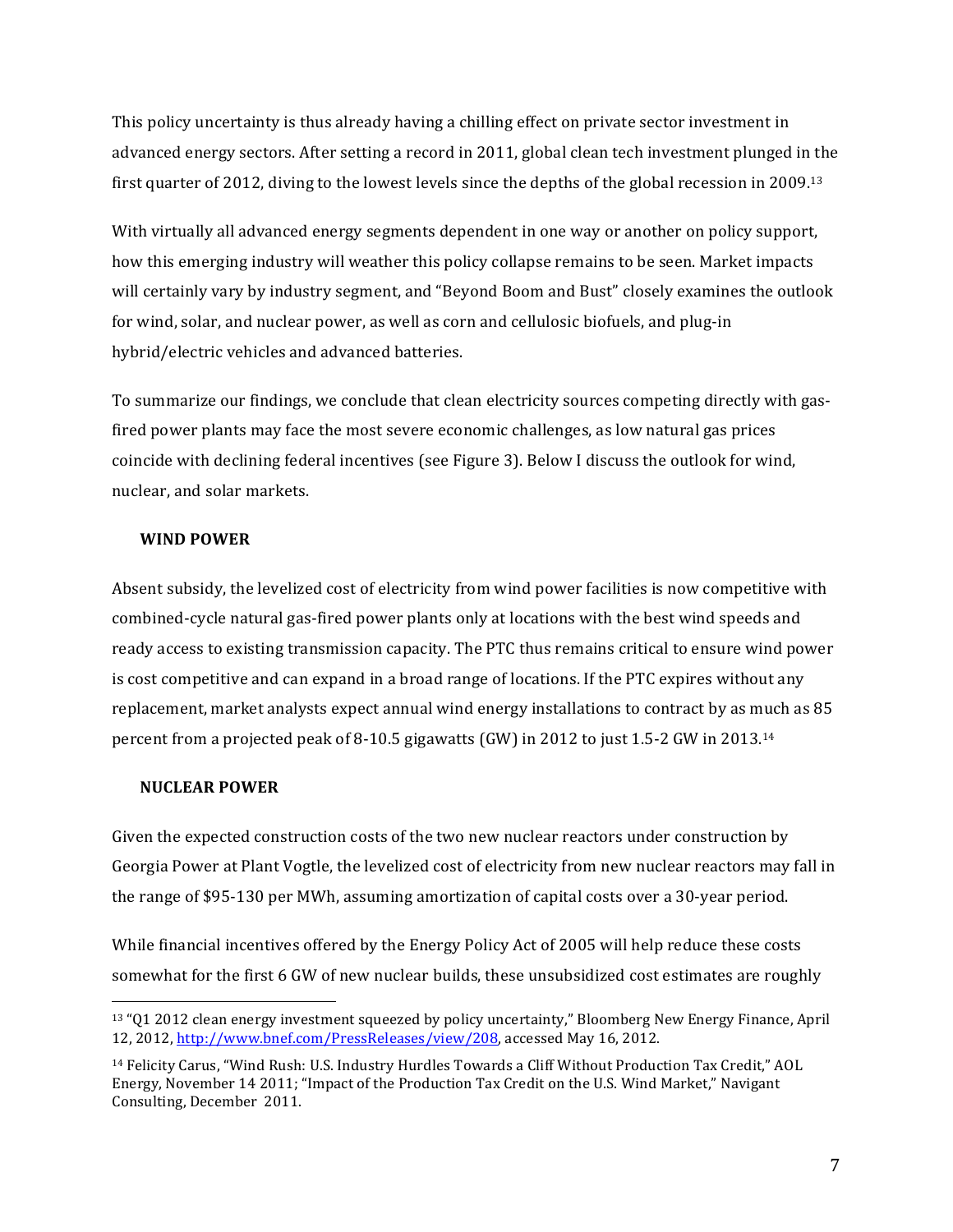This policy uncertainty is thus already having a chilling effect on private sector investment in advanced energy sectors. After setting a record in 2011, global clean tech investment plunged in the first quarter of 2012, diving to the lowest levels since the depths of the global recession in 2009.<sup>13</sup>

With virtually all advanced energy segments dependent in one way or another on policy support, how this emerging industry will weather this policy collapse remains to be seen. Market impacts will certainly vary by industry segment, and "Beyond Boom and Bust" closely examines the outlook for wind, solar, and nuclear power, as well as corn and cellulosic biofuels, and plug-in hybrid/electric vehicles and advanced batteries.

To summarize our findings, we conclude that clean electricity sources competing directly with gasfired power plants may face the most severe economic challenges, as low natural gas prices coincide with declining federal incentives (see Figure 3). Below I discuss the outlook for wind, nuclear, and solar markets.

### **WIND POWER**

Absent subsidy, the levelized cost of electricity from wind power facilities is now competitive with combined-cycle natural gas-fired power plants only at locations with the best wind speeds and ready access to existing transmission capacity. The PTC thus remains critical to ensure wind power is cost competitive and can expand in a broad range of locations. If the PTC expires without any replacement, market analysts expect annual wind energy installations to contract by as much as 85 percent from a projected peak of 8-10.5 gigawatts  $(GW)$  in 2012 to just 1.5-2  $GW$  in 2013.<sup>14</sup>

## **NUCLEAR POWER**

 

Given the expected construction costs of the two new nuclear reactors under construction by Georgia Power at Plant Vogtle, the levelized cost of electricity from new nuclear reactors may fall in the range of \$95-130 per MWh, assuming amortization of capital costs over a 30-year period.

While financial incentives offered by the Energy Policy Act of 2005 will help reduce these costs somewhat for the first 6 GW of new nuclear builds, these unsubsidized cost estimates are roughly

 $13$  "O1 2012 clean energy investment squeezed by policy uncertainty," Bloomberg New Energy Finance, April 12, 2012, http://www.bnef.com/PressReleases/view/208, accessed May 16, 2012.

<sup>&</sup>lt;sup>14</sup> Felicity Carus, "Wind Rush: U.S. Industry Hurdles Towards a Cliff Without Production Tax Credit," AOL Energy, November 14 2011; "Impact of the Production Tax Credit on the U.S. Wind Market," Navigant Consulting, December 2011.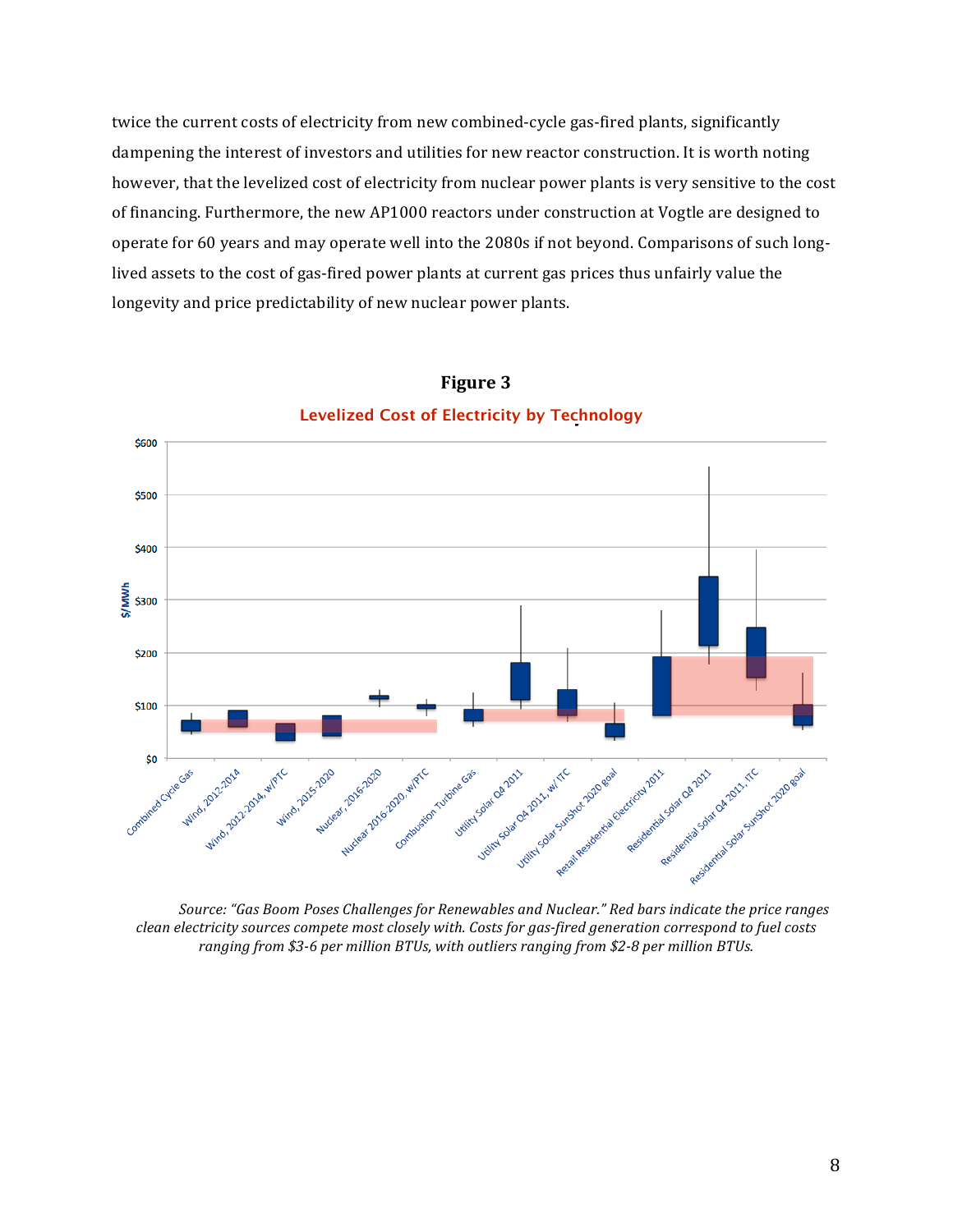twice the current costs of electricity from new combined-cycle gas-fired plants, significantly dampening the interest of investors and utilities for new reactor construction. It is worth noting however, that the levelized cost of electricity from nuclear power plants is very sensitive to the cost of financing. Furthermore, the new AP1000 reactors under construction at Vogtle are designed to operate for 60 years and may operate well into the 2080s if not beyond. Comparisons of such longlived assets to the cost of gas-fired power plants at current gas prices thus unfairly value the longevity and price predictability of new nuclear power plants.



**Figure 5 Figure 3Levelized Cost of Electricity by Technology**

Source: "Gas Boom Poses Challenges for Renewables and Nuclear." Red bars indicate the price ranges clean electricity sources compete most closely with. Costs for gas-fired generation correspond to fuel costs ranging from \$3-6 per million BTUs, with outliers ranging from \$2-8 per million BTUs.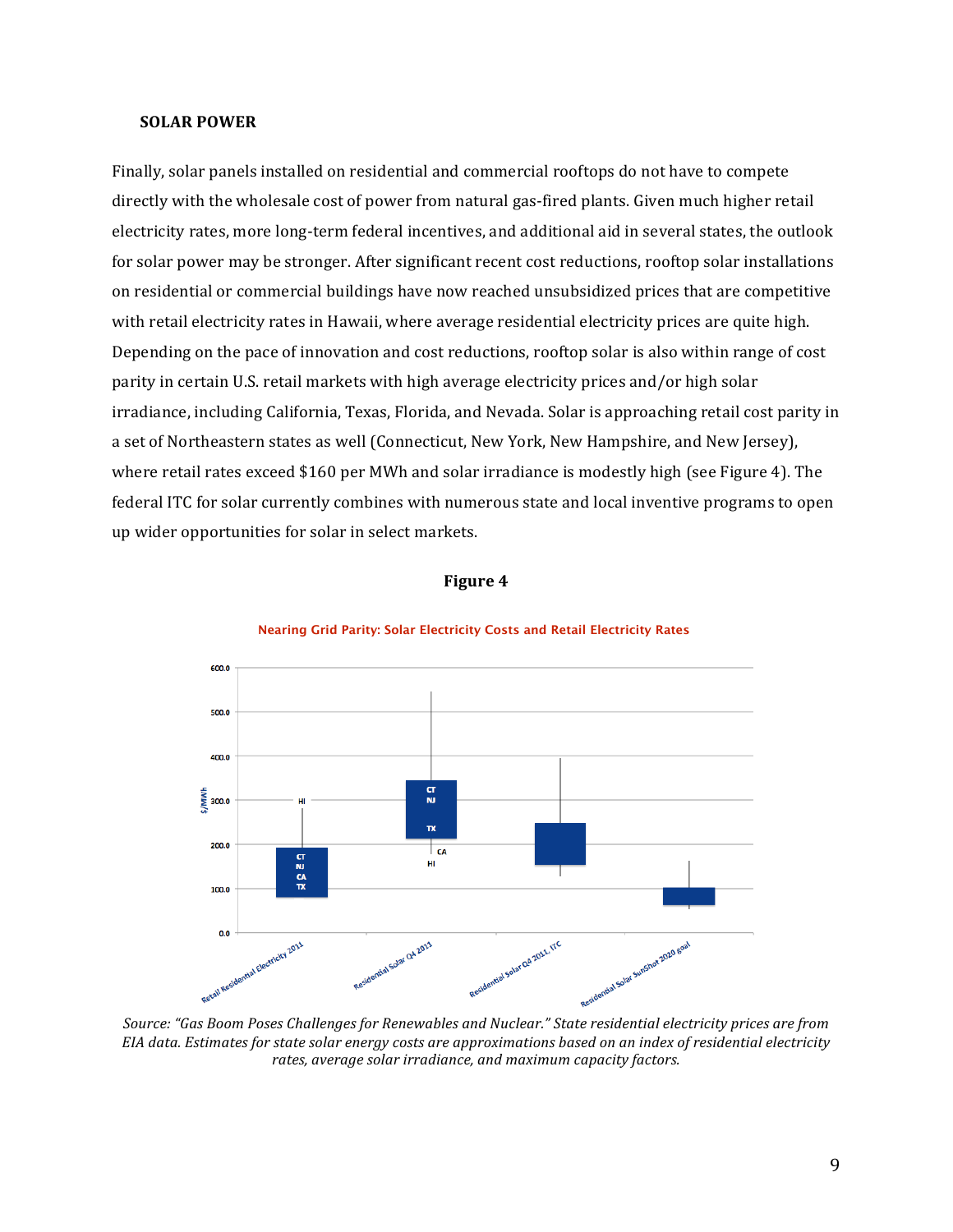#### **SOLAR POWER**

Finally, solar panels installed on residential and commercial rooftops do not have to compete directly with the wholesale cost of power from natural gas-fired plants. Given much higher retail electricity rates, more long-term federal incentives, and additional aid in several states, the outlook for solar power may be stronger. After significant recent cost reductions, rooftop solar installations on residential or commercial buildings have now reached unsubsidized prices that are competitive with retail electricity rates in Hawaii, where average residential electricity prices are quite high. Depending on the pace of innovation and cost reductions, rooftop solar is also within range of cost parity in certain U.S. retail markets with high average electricity prices and/or high solar irradiance, including California, Texas, Florida, and Nevada. Solar is approaching retail cost parity in a set of Northeastern states as well (Connecticut, New York, New Hampshire, and New Jersey), where retail rates exceed \$160 per MWh and solar irradiance is modestly high (see Figure 4). The federal ITC for solar currently combines with numerous state and local inventive programs to open up wider opportunities for solar in select markets. states with the centricity prices. Recent subsidiary projects have achieved rates for the projects of the control of the control of the control of the control of the control of the control of the control of the control of





#### **Nearing Grid Parity: Solar Electricity Costs and Retail Electricity Rates**

Source: "Gas Boom Poses Challenges for Renewables and Nuclear." State residential electricity prices are from EIA data. Estimates for state solar energy costs are approximations based on an index of residential electricity rates, average solar *irradiance*, and maximum capacity factors.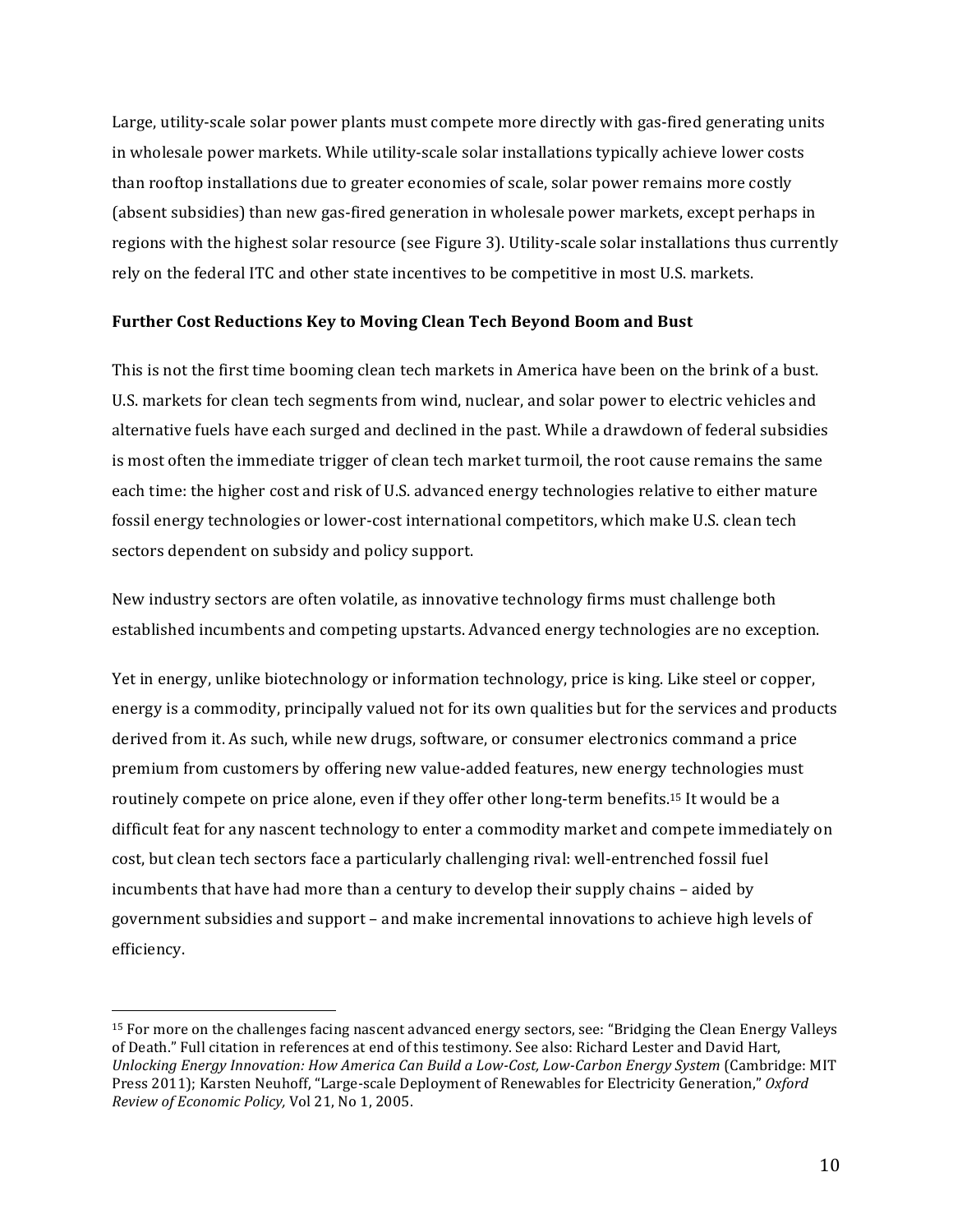Large, utility-scale solar power plants must compete more directly with gas-fired generating units in wholesale power markets. While utility-scale solar installations typically achieve lower costs than rooftop installations due to greater economies of scale, solar power remains more costly (absent subsidies) than new gas-fired generation in wholesale power markets, except perhaps in regions with the highest solar resource (see Figure 3). Utility-scale solar installations thus currently rely on the federal ITC and other state incentives to be competitive in most U.S. markets.

## Further Cost Reductions Key to Moving Clean Tech Beyond Boom and Bust

This is not the first time booming clean tech markets in America have been on the brink of a bust. U.S. markets for clean tech segments from wind, nuclear, and solar power to electric vehicles and alternative fuels have each surged and declined in the past. While a drawdown of federal subsidies is most often the immediate trigger of clean tech market turmoil, the root cause remains the same each time: the higher cost and risk of U.S. advanced energy technologies relative to either mature fossil energy technologies or lower-cost international competitors, which make U.S. clean tech sectors dependent on subsidy and policy support.

New industry sectors are often volatile, as innovative technology firms must challenge both established incumbents and competing upstarts. Advanced energy technologies are no exception.

Yet in energy, unlike biotechnology or information technology, price is king. Like steel or copper, energy is a commodity, principally valued not for its own qualities but for the services and products derived from it. As such, while new drugs, software, or consumer electronics command a price premium from customers by offering new value-added features, new energy technologies must routinely compete on price alone, even if they offer other long-term benefits.<sup>15</sup> It would be a difficult feat for any nascent technology to enter a commodity market and compete immediately on cost, but clean tech sectors face a particularly challenging rival: well-entrenched fossil fuel incumbents that have had more than a century to develop their supply chains - aided by government subsidies and support – and make incremental innovations to achieve high levels of efficiency. 

<sup>&</sup>lt;sup>15</sup> For more on the challenges facing nascent advanced energy sectors, see: "Bridging the Clean Energy Valleys of Death." Full citation in references at end of this testimony. See also: Richard Lester and David Hart, *Unlocking Energy Innovation: How America Can Build a Low-Cost, Low-Carbon Energy System* (Cambridge: MIT) Press 2011); Karsten Neuhoff, "Large-scale Deployment of Renewables for Electricity Generation," Oxford *Review of Economic Policy,* Vol 21, No 1, 2005.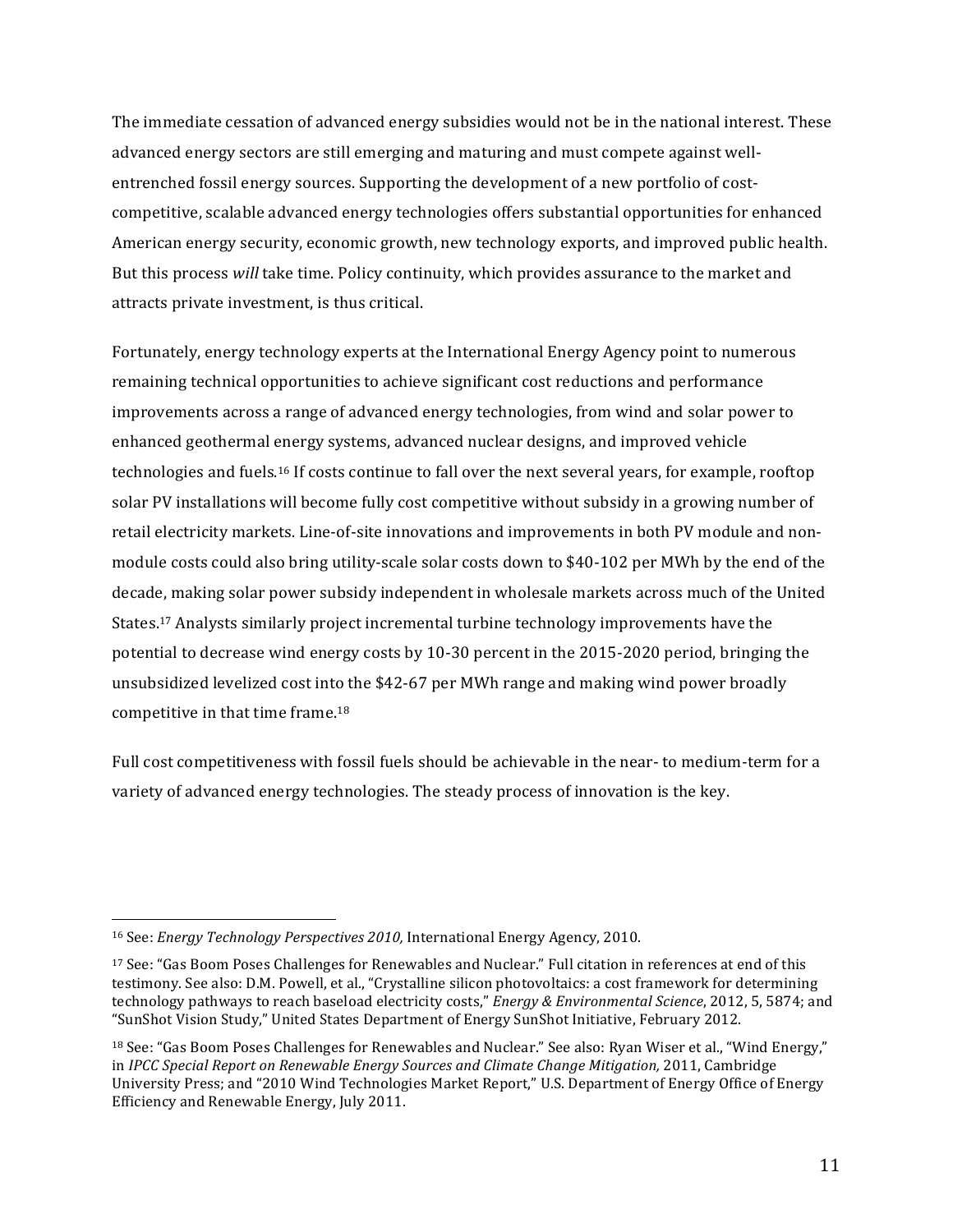The immediate cessation of advanced energy subsidies would not be in the national interest. These advanced energy sectors are still emerging and maturing and must compete against wellentrenched fossil energy sources. Supporting the development of a new portfolio of costcompetitive, scalable advanced energy technologies offers substantial opportunities for enhanced American energy security, economic growth, new technology exports, and improved public health. But this process will take time. Policy continuity, which provides assurance to the market and attracts private investment, is thus critical.

Fortunately, energy technology experts at the International Energy Agency point to numerous remaining technical opportunities to achieve significant cost reductions and performance improvements across a range of advanced energy technologies, from wind and solar power to enhanced geothermal energy systems, advanced nuclear designs, and improved vehicle technologies and fuels.<sup>16</sup> If costs continue to fall over the next several years, for example, rooftop solar PV installations will become fully cost competitive without subsidy in a growing number of retail electricity markets. Line-of-site innovations and improvements in both PV module and nonmodule costs could also bring utility-scale solar costs down to \$40-102 per MWh by the end of the decade, making solar power subsidy independent in wholesale markets across much of the United States.<sup>17</sup> Analysts similarly project incremental turbine technology improvements have the potential to decrease wind energy costs by  $10-30$  percent in the  $2015-2020$  period, bringing the unsubsidized levelized cost into the \$42-67 per MWh range and making wind power broadly competitive in that time frame.<sup>18</sup>

Full cost competitiveness with fossil fuels should be achievable in the near- to medium-term for a variety of advanced energy technologies. The steady process of innovation is the key.

<sup>&</sup>lt;sup>16</sup> See: *Energy Technology Perspectives 2010*, International Energy Agency, 2010.

<sup>&</sup>lt;sup>17</sup> See: "Gas Boom Poses Challenges for Renewables and Nuclear." Full citation in references at end of this testimony. See also: D.M. Powell, et al., "Crystalline silicon photovoltaics: a cost framework for determining technology pathways to reach baseload electricity costs," *Energy & Environmental Science*, 2012, 5, 5874; and "SunShot Vision Study," United States Department of Energy SunShot Initiative, February 2012.

<sup>&</sup>lt;sup>18</sup> See: "Gas Boom Poses Challenges for Renewables and Nuclear." See also: Ryan Wiser et al., "Wind Energy." in *IPCC Special Report on Renewable Energy Sources and Climate Change Mitigation, 2011, Cambridge* University Press; and "2010 Wind Technologies Market Report," U.S. Department of Energy Office of Energy Efficiency and Renewable Energy, July 2011.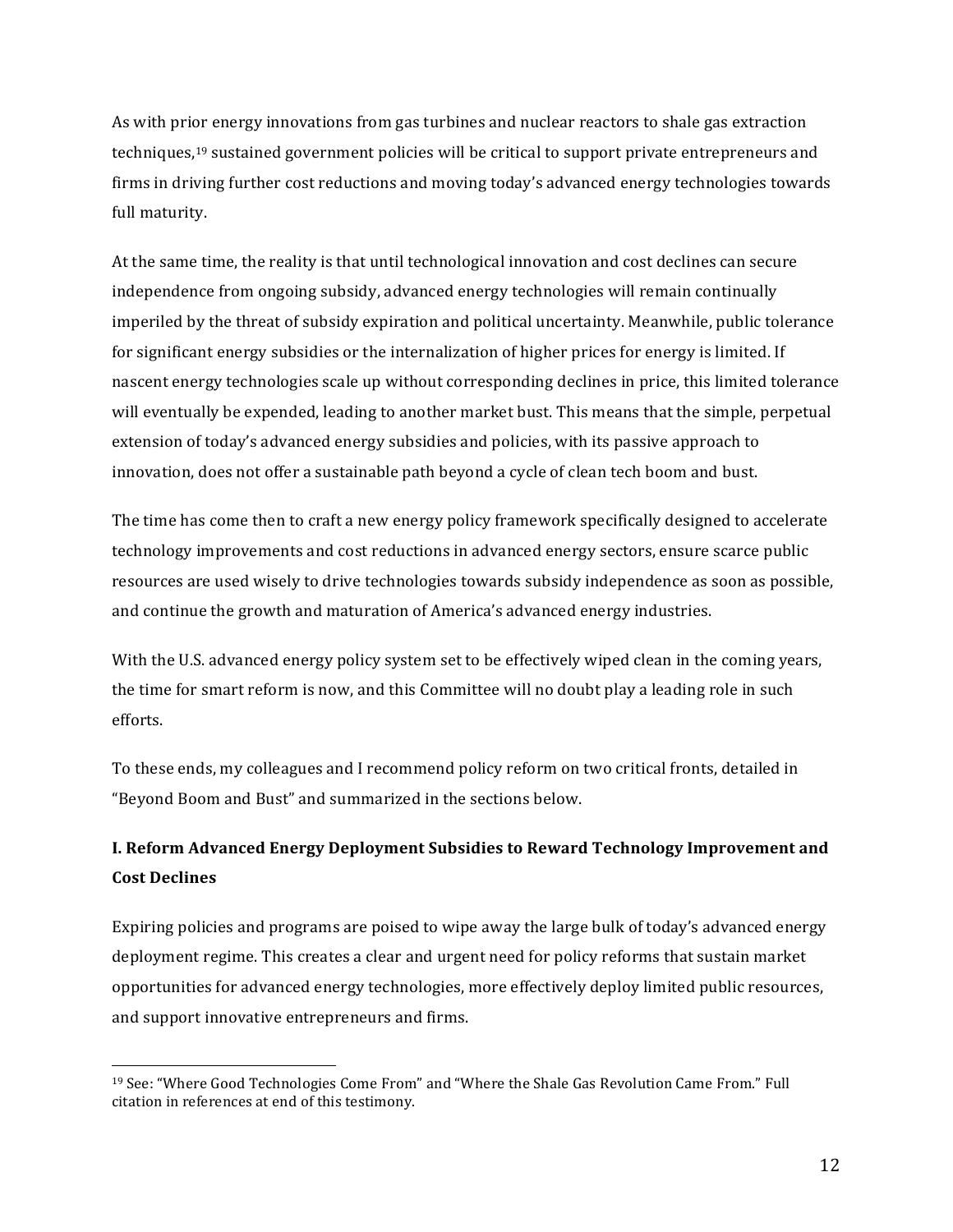As with prior energy innovations from gas turbines and nuclear reactors to shale gas extraction techniques,<sup>19</sup> sustained government policies will be critical to support private entrepreneurs and firms in driving further cost reductions and moving today's advanced energy technologies towards full maturity.

At the same time, the reality is that until technological innovation and cost declines can secure independence from ongoing subsidy, advanced energy technologies will remain continually imperiled by the threat of subsidy expiration and political uncertainty. Meanwhile, public tolerance for significant energy subsidies or the internalization of higher prices for energy is limited. If nascent energy technologies scale up without corresponding declines in price, this limited tolerance will eventually be expended, leading to another market bust. This means that the simple, perpetual extension of today's advanced energy subsidies and policies, with its passive approach to innovation, does not offer a sustainable path beyond a cycle of clean tech boom and bust.

The time has come then to craft a new energy policy framework specifically designed to accelerate technology improvements and cost reductions in advanced energy sectors, ensure scarce public resources are used wisely to drive technologies towards subsidy independence as soon as possible, and continue the growth and maturation of America's advanced energy industries.

With the U.S. advanced energy policy system set to be effectively wiped clean in the coming years, the time for smart reform is now, and this Committee will no doubt play a leading role in such efforts.

To these ends, my colleagues and I recommend policy reform on two critical fronts, detailed in "Beyond Boom and Bust" and summarized in the sections below.

# **I. Reform Advanced Energy Deployment Subsidies to Reward Technology Improvement and Cost Declines**

Expiring policies and programs are poised to wipe away the large bulk of today's advanced energy deployment regime. This creates a clear and urgent need for policy reforms that sustain market opportunities for advanced energy technologies, more effectively deploy limited public resources, and support innovative entrepreneurs and firms.

<sup>&</sup>lt;sup>19</sup> See: "Where Good Technologies Come From" and "Where the Shale Gas Revolution Came From." Full citation in references at end of this testimony.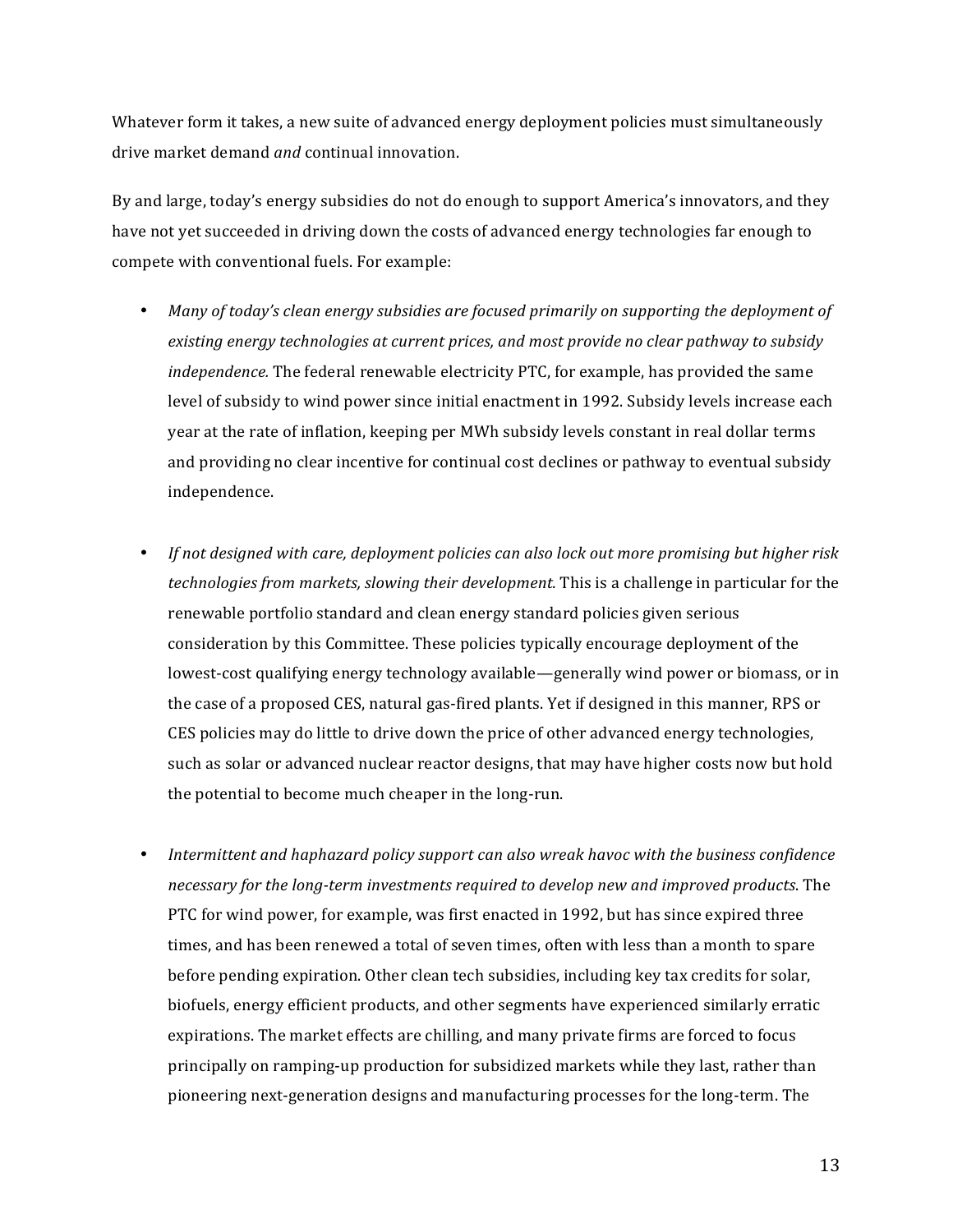Whatever form it takes, a new suite of advanced energy deployment policies must simultaneously drive market demand *and* continual innovation.

By and large, today's energy subsidies do not do enough to support America's innovators, and they have not yet succeeded in driving down the costs of advanced energy technologies far enough to compete with conventional fuels. For example:

- Many of today's clean energy subsidies are focused primarily on supporting the deployment of existing energy technologies at current prices, and most provide no clear pathway to subsidy *independence*. The federal renewable electricity PTC, for example, has provided the same level of subsidy to wind power since initial enactment in 1992. Subsidy levels increase each year at the rate of inflation, keeping per MWh subsidy levels constant in real dollar terms and providing no clear incentive for continual cost declines or pathway to eventual subsidy independence.
- *If* not designed with care, deployment policies can also lock out more promising but higher risk *technologies* from markets, slowing their development. This is a challenge in particular for the renewable portfolio standard and clean energy standard policies given serious consideration by this Committee. These policies typically encourage deployment of the lowest-cost qualifying energy technology available—generally wind power or biomass, or in the case of a proposed CES, natural gas-fired plants. Yet if designed in this manner, RPS or CES policies may do little to drive down the price of other advanced energy technologies, such as solar or advanced nuclear reactor designs, that may have higher costs now but hold the potential to become much cheaper in the long-run.
- *Intermittent and haphazard policy support can also wreak havoc with the business confidence* necessary for the long-term investments required to develop new and improved products. The PTC for wind power, for example, was first enacted in 1992, but has since expired three times, and has been renewed a total of seven times, often with less than a month to spare before pending expiration. Other clean tech subsidies, including key tax credits for solar, biofuels, energy efficient products, and other segments have experienced similarly erratic expirations. The market effects are chilling, and many private firms are forced to focus principally on ramping-up production for subsidized markets while they last, rather than pioneering next-generation designs and manufacturing processes for the long-term. The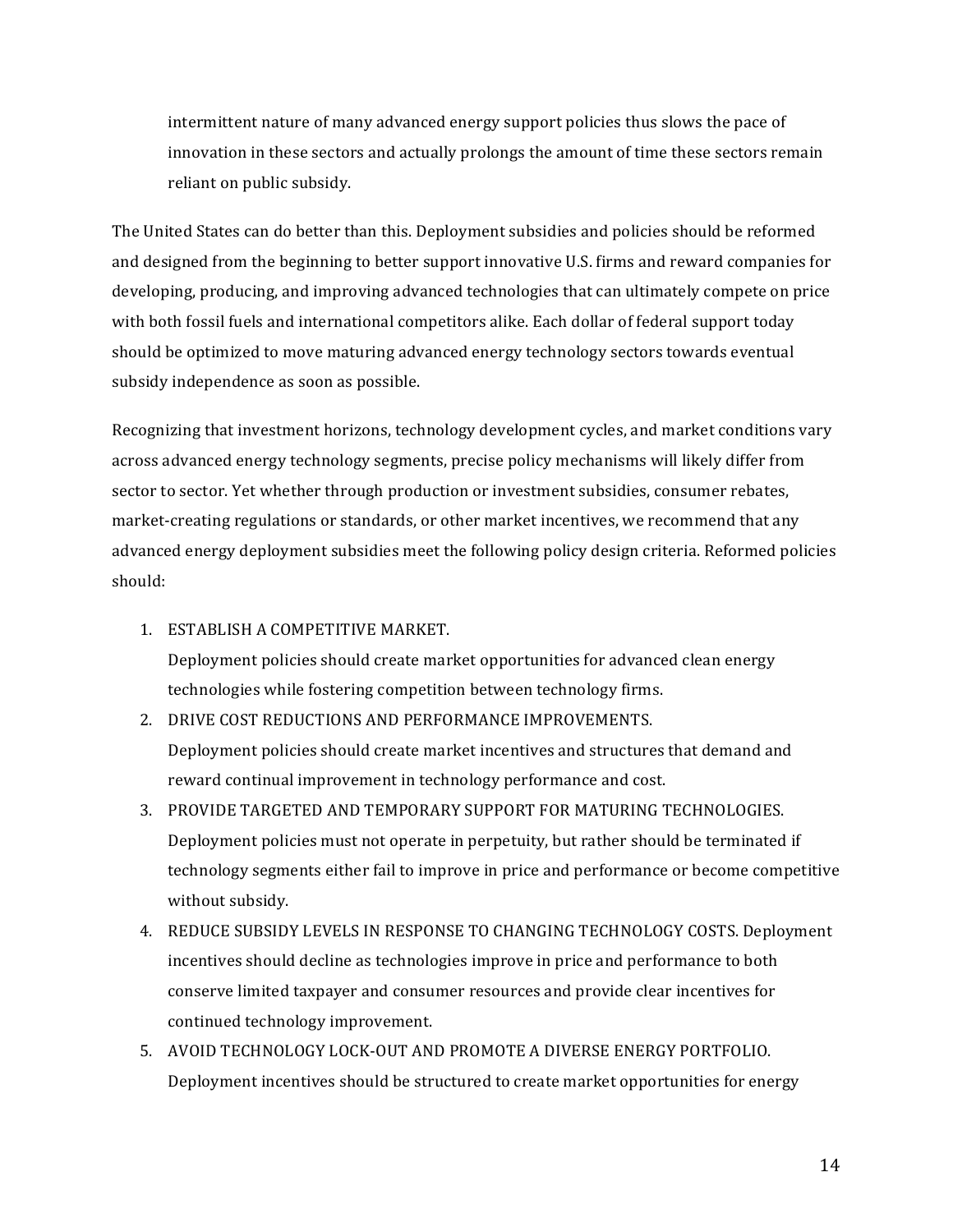intermittent nature of many advanced energy support policies thus slows the pace of innovation in these sectors and actually prolongs the amount of time these sectors remain reliant on public subsidy.

The United States can do better than this. Deployment subsidies and policies should be reformed and designed from the beginning to better support innovative U.S. firms and reward companies for developing, producing, and improving advanced technologies that can ultimately compete on price with both fossil fuels and international competitors alike. Each dollar of federal support today should be optimized to move maturing advanced energy technology sectors towards eventual subsidy independence as soon as possible.

Recognizing that investment horizons, technology development cycles, and market conditions vary across advanced energy technology segments, precise policy mechanisms will likely differ from sector to sector. Yet whether through production or investment subsidies, consumer rebates, market-creating regulations or standards, or other market incentives, we recommend that any advanced energy deployment subsidies meet the following policy design criteria. Reformed policies should:

1. ESTABLISH A COMPETITIVE MARKET.

Deployment policies should create market opportunities for advanced clean energy technologies while fostering competition between technology firms.

- 2. DRIVE COST REDUCTIONS AND PERFORMANCE IMPROVEMENTS. Deployment policies should create market incentives and structures that demand and reward continual improvement in technology performance and cost.
- 3. PROVIDE TARGETED AND TEMPORARY SUPPORT FOR MATURING TECHNOLOGIES. Deployment policies must not operate in perpetuity, but rather should be terminated if technology segments either fail to improve in price and performance or become competitive without subsidy.
- 4. REDUCE SUBSIDY LEVELS IN RESPONSE TO CHANGING TECHNOLOGY COSTS. Deployment incentives should decline as technologies improve in price and performance to both conserve limited taxpayer and consumer resources and provide clear incentives for continued technology improvement.
- 5. AVOID TECHNOLOGY LOCK-OUT AND PROMOTE A DIVERSE ENERGY PORTFOLIO. Deployment incentives should be structured to create market opportunities for energy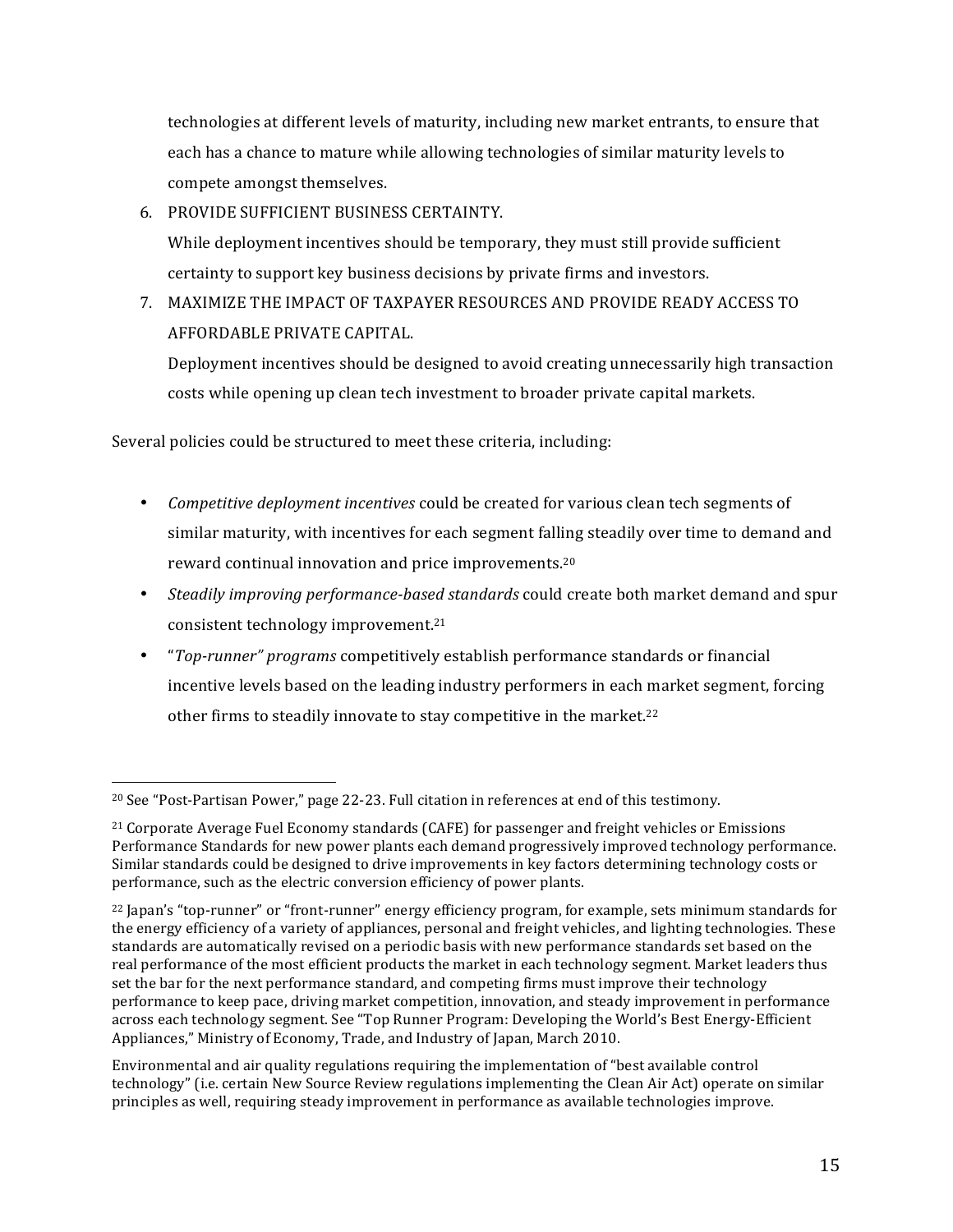technologies at different levels of maturity, including new market entrants, to ensure that each has a chance to mature while allowing technologies of similar maturity levels to compete amongst themselves.

6. PROVIDE SUFFICIENT BUSINESS CERTAINTY. While deployment incentives should be temporary, they must still provide sufficient certainty to support key business decisions by private firms and investors.

7. MAXIMIZE THE IMPACT OF TAXPAYER RESOURCES AND PROVIDE READY ACCESS TO AFFORDABLE PRIVATE CAPITAL.

Deployment incentives should be designed to avoid creating unnecessarily high transaction costs while opening up clean tech investment to broader private capital markets.

Several policies could be structured to meet these criteria, including:

- *Competitive deployment incentives* could be created for various clean tech segments of similar maturity, with incentives for each segment falling steadily over time to demand and reward continual innovation and price improvements.<sup>20</sup>
- *Steadily improving performance-based standards* could create both market demand and spur consistent technology improvement.<sup>21</sup>
- *"Top-runner" programs* competitively establish performance standards or financial incentive levels based on the leading industry performers in each market segment, forcing other firms to steadily innovate to stay competitive in the market.<sup>22</sup>

  $20$  See "Post-Partisan Power," page 22-23. Full citation in references at end of this testimony.

<sup>&</sup>lt;sup>21</sup> Corporate Average Fuel Economy standards (CAFE) for passenger and freight vehicles or Emissions Performance Standards for new power plants each demand progressively improved technology performance. Similar standards could be designed to drive improvements in key factors determining technology costs or performance, such as the electric conversion efficiency of power plants.

<sup>&</sup>lt;sup>22</sup> Japan's "top-runner" or "front-runner" energy efficiency program, for example, sets minimum standards for the energy efficiency of a variety of appliances, personal and freight vehicles, and lighting technologies. These standards are automatically revised on a periodic basis with new performance standards set based on the real performance of the most efficient products the market in each technology segment. Market leaders thus set the bar for the next performance standard, and competing firms must improve their technology performance to keep pace, driving market competition, innovation, and steady improvement in performance across each technology segment. See "Top Runner Program: Developing the World's Best Energy-Efficient Appliances," Ministry of Economy, Trade, and Industry of Japan, March 2010.

Environmental and air quality regulations requiring the implementation of "best available control technology" (i.e. certain New Source Review regulations implementing the Clean Air Act) operate on similar principles as well, requiring steady improvement in performance as available technologies improve.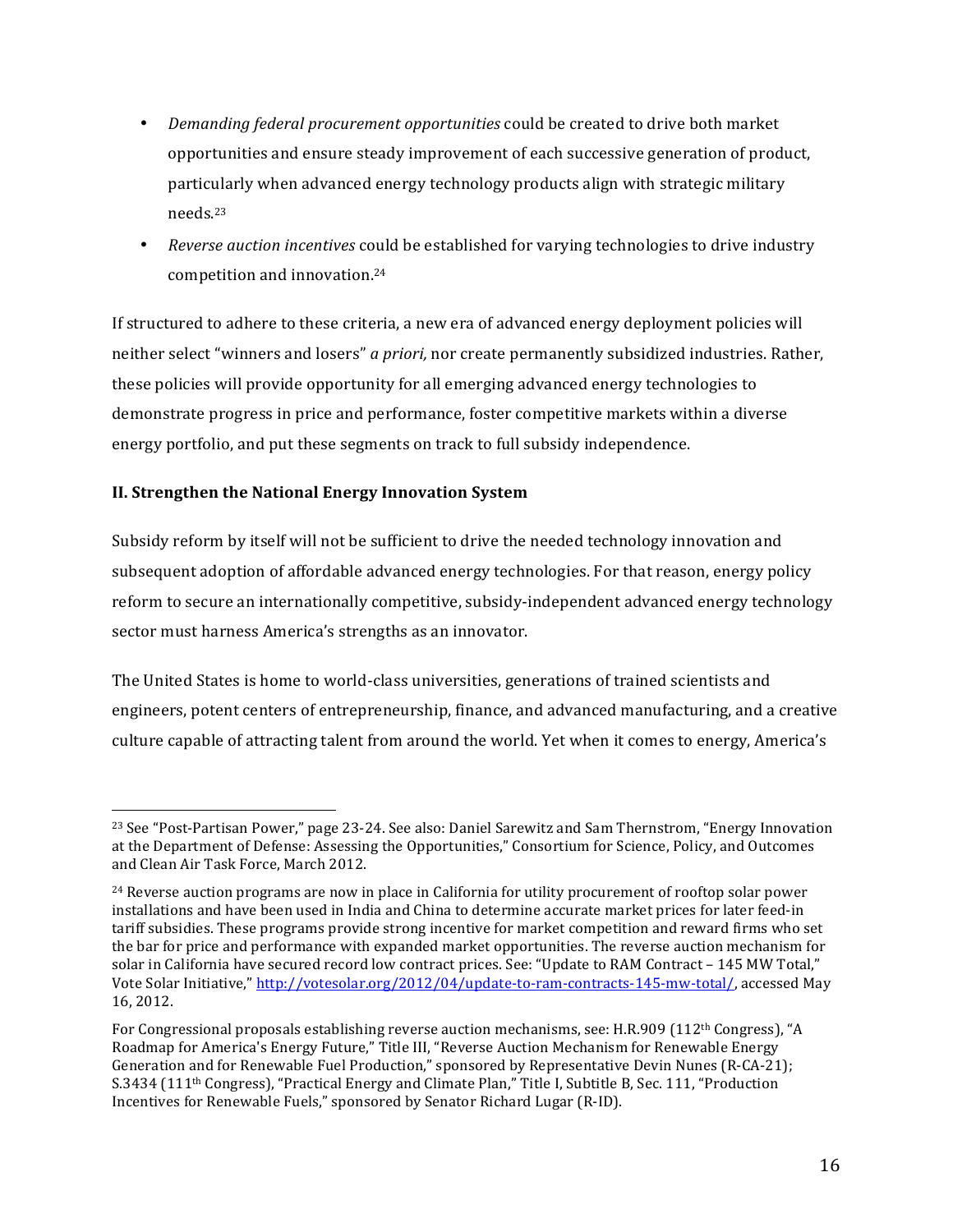- *Demanding federal procurement opportunities* could be created to drive both market opportunities and ensure steady improvement of each successive generation of product, particularly when advanced energy technology products align with strategic military needs.23
- *Reverse auction incentives* could be established for varying technologies to drive industry competition and innovation.<sup>24</sup>

If structured to adhere to these criteria, a new era of advanced energy deployment policies will neither select "winners and losers" *a priori*, nor create permanently subsidized industries. Rather, these policies will provide opportunity for all emerging advanced energy technologies to demonstrate progress in price and performance, foster competitive markets within a diverse energy portfolio, and put these segments on track to full subsidy independence.

## **II. Strengthen the National Energy Innovation System**

 

Subsidy reform by itself will not be sufficient to drive the needed technology innovation and subsequent adoption of affordable advanced energy technologies. For that reason, energy policy reform to secure an internationally competitive, subsidy-independent advanced energy technology sector must harness America's strengths as an innovator.

The United States is home to world-class universities, generations of trained scientists and engineers, potent centers of entrepreneurship, finance, and advanced manufacturing, and a creative culture capable of attracting talent from around the world. Yet when it comes to energy, America's

<sup>&</sup>lt;sup>23</sup> See "Post-Partisan Power," page 23-24. See also: Daniel Sarewitz and Sam Thernstrom, "Energy Innovation at the Department of Defense: Assessing the Opportunities," Consortium for Science, Policy, and Outcomes and Clean Air Task Force, March 2012.

 $24$  Reverse auction programs are now in place in California for utility procurement of rooftop solar power installations and have been used in India and China to determine accurate market prices for later feed-in tariff subsidies. These programs provide strong incentive for market competition and reward firms who set the bar for price and performance with expanded market opportunities. The reverse auction mechanism for solar in California have secured record low contract prices. See: "Update to RAM Contract - 145 MW Total," Vote Solar Initiative," http://votesolar.org/2012/04/update-to-ram-contracts-145-mw-total/, accessed May 16, 2012. 

For Congressional proposals establishing reverse auction mechanisms, see: H.R.909 (112<sup>th</sup> Congress), "A Roadmap for America's Energy Future," Title III, "Reverse Auction Mechanism for Renewable Energy Generation and for Renewable Fuel Production," sponsored by Representative Devin Nunes (R-CA-21); S.3434 (111<sup>th</sup> Congress), "Practical Energy and Climate Plan," Title I, Subtitle B, Sec. 111, "Production Incentives for Renewable Fuels," sponsored by Senator Richard Lugar (R-ID).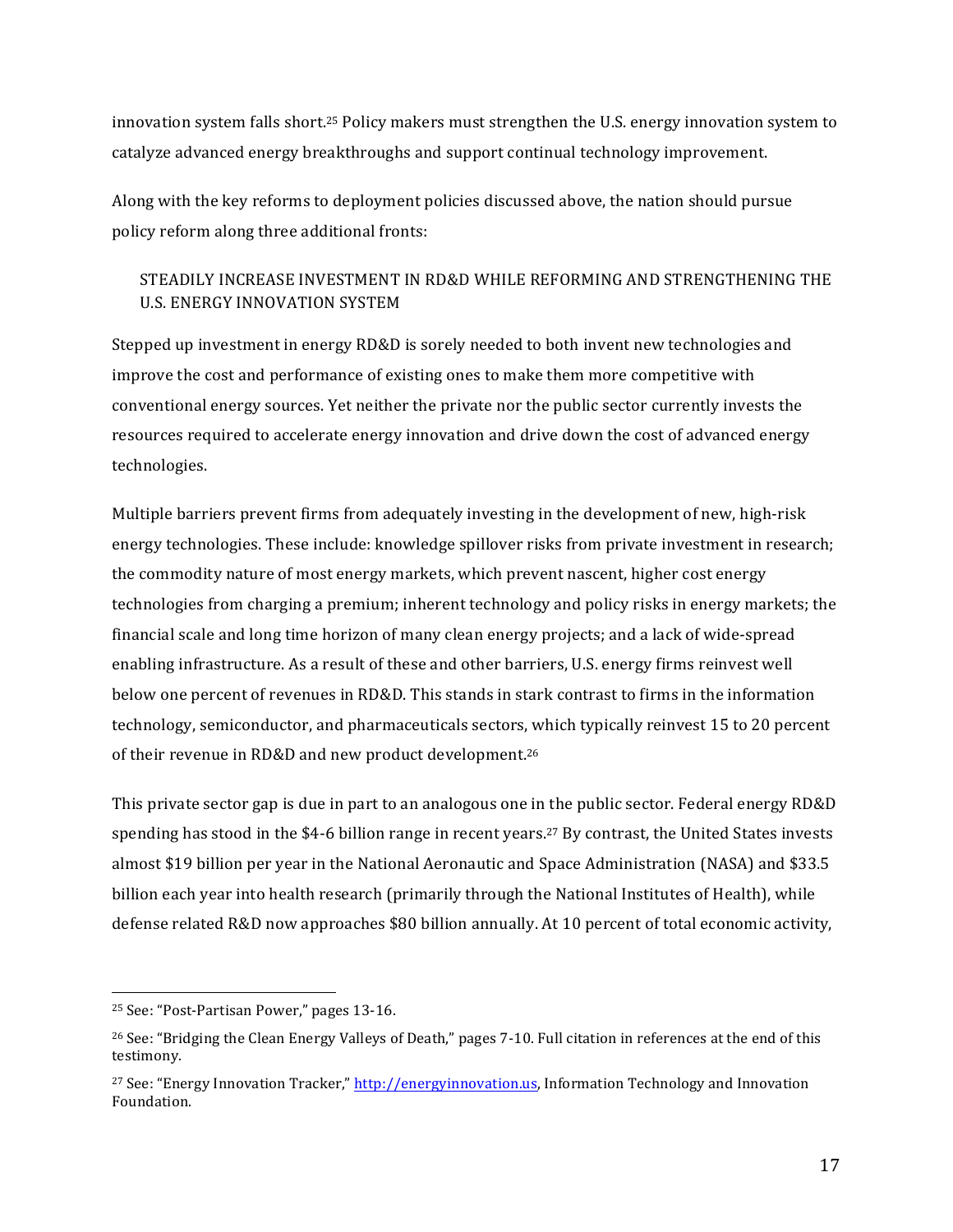innovation system falls short.<sup>25</sup> Policy makers must strengthen the U.S. energy innovation system to catalyze advanced energy breakthroughs and support continual technology improvement.

Along with the key reforms to deployment policies discussed above, the nation should pursue policy reform along three additional fronts:

## STEADILY INCREASE INVESTMENT IN RD&D WHILE REFORMING AND STRENGTHENING THE U.S. ENERGY INNOVATION SYSTEM

Stepped up investment in energy  $RD&D$  is sorely needed to both invent new technologies and improve the cost and performance of existing ones to make them more competitive with conventional energy sources. Yet neither the private nor the public sector currently invests the resources required to accelerate energy innovation and drive down the cost of advanced energy technologies.

Multiple barriers prevent firms from adequately investing in the development of new, high-risk energy technologies. These include: knowledge spillover risks from private investment in research; the commodity nature of most energy markets, which prevent nascent, higher cost energy technologies from charging a premium; inherent technology and policy risks in energy markets; the financial scale and long time horizon of many clean energy projects; and a lack of wide-spread enabling infrastructure. As a result of these and other barriers, U.S. energy firms reinvest well below one percent of revenues in RD&D. This stands in stark contrast to firms in the information technology, semiconductor, and pharmaceuticals sectors, which typically reinvest 15 to 20 percent of their revenue in RD&D and new product development.<sup>26</sup>

This private sector gap is due in part to an analogous one in the public sector. Federal energy RD&D spending has stood in the \$4-6 billion range in recent years.<sup>27</sup> By contrast, the United States invests almost \$19 billion per year in the National Aeronautic and Space Administration (NASA) and \$33.5 billion each year into health research (primarily through the National Institutes of Health), while defense related R&D now approaches \$80 billion annually. At 10 percent of total economic activity,

<sup>&</sup>lt;sup>25</sup> See: "Post-Partisan Power," pages 13-16.

 $26$  See: "Bridging the Clean Energy Valleys of Death," pages 7-10. Full citation in references at the end of this testimony.

 $27$  See: "Energy Innovation Tracker," http://energyinnovation.us, Information Technology and Innovation Foundation.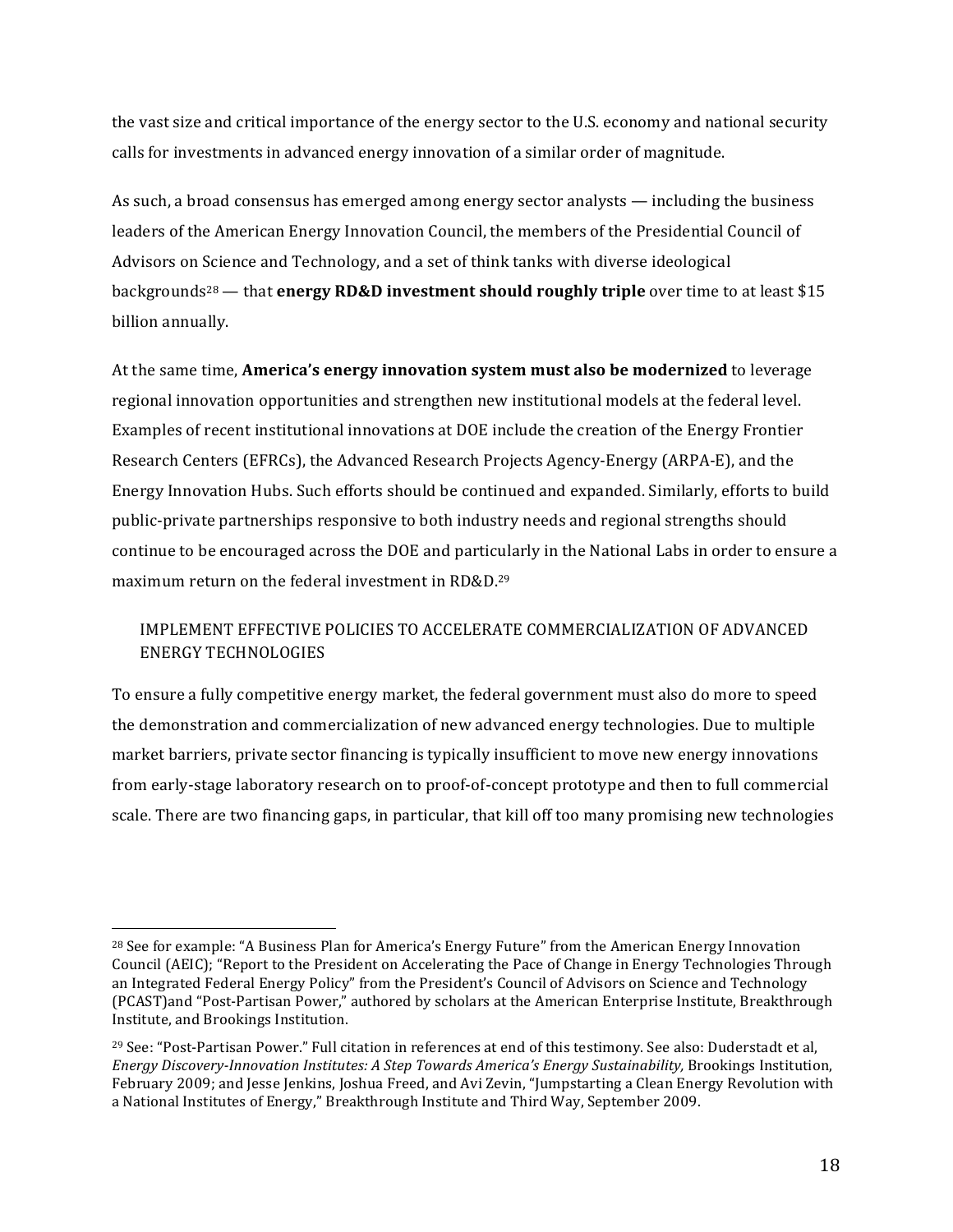the vast size and critical importance of the energy sector to the U.S. economy and national security calls for investments in advanced energy innovation of a similar order of magnitude.

As such, a broad consensus has emerged among energy sector analysts  $-$  including the business leaders of the American Energy Innovation Council, the members of the Presidential Council of Advisors on Science and Technology, and a set of think tanks with diverse ideological backgrounds<sup>28</sup> — that **energy RD&D investment should roughly triple** over time to at least \$15 billion annually.

At the same time, **America's energy innovation system must also be modernized** to leverage regional innovation opportunities and strengthen new institutional models at the federal level. Examples of recent institutional innovations at DOE include the creation of the Energy Frontier Research Centers (EFRCs), the Advanced Research Projects Agency-Energy (ARPA-E), and the Energy Innovation Hubs. Such efforts should be continued and expanded. Similarly, efforts to build public-private partnerships responsive to both industry needs and regional strengths should continue to be encouraged across the DOE and particularly in the National Labs in order to ensure a maximum return on the federal investment in  $RD&D.29$ 

## IMPLEMENT EFFECTIVE POLICIES TO ACCELERATE COMMERCIALIZATION OF ADVANCED ENERGY TECHNOLOGIES

To ensure a fully competitive energy market, the federal government must also do more to speed the demonstration and commercialization of new advanced energy technologies. Due to multiple market barriers, private sector financing is typically insufficient to move new energy innovations from early-stage laboratory research on to proof-of-concept prototype and then to full commercial scale. There are two financing gaps, in particular, that kill off too many promising new technologies

<sup>&</sup>lt;sup>28</sup> See for example: "A Business Plan for America's Energy Future" from the American Energy Innovation Council (AEIC); "Report to the President on Accelerating the Pace of Change in Energy Technologies Through an Integrated Federal Energy Policy" from the President's Council of Advisors on Science and Technology (PCAST)and "Post-Partisan Power," authored by scholars at the American Enterprise Institute, Breakthrough Institute, and Brookings Institution.

<sup>&</sup>lt;sup>29</sup> See: "Post-Partisan Power." Full citation in references at end of this testimony. See also: Duderstadt et al. *Energy Discovery-Innovation Institutes: A Step Towards America's Energy Sustainability, Brookings Institution,* February 2009; and Jesse Jenkins, Joshua Freed, and Avi Zevin, "Jumpstarting a Clean Energy Revolution with a National Institutes of Energy," Breakthrough Institute and Third Way, September 2009.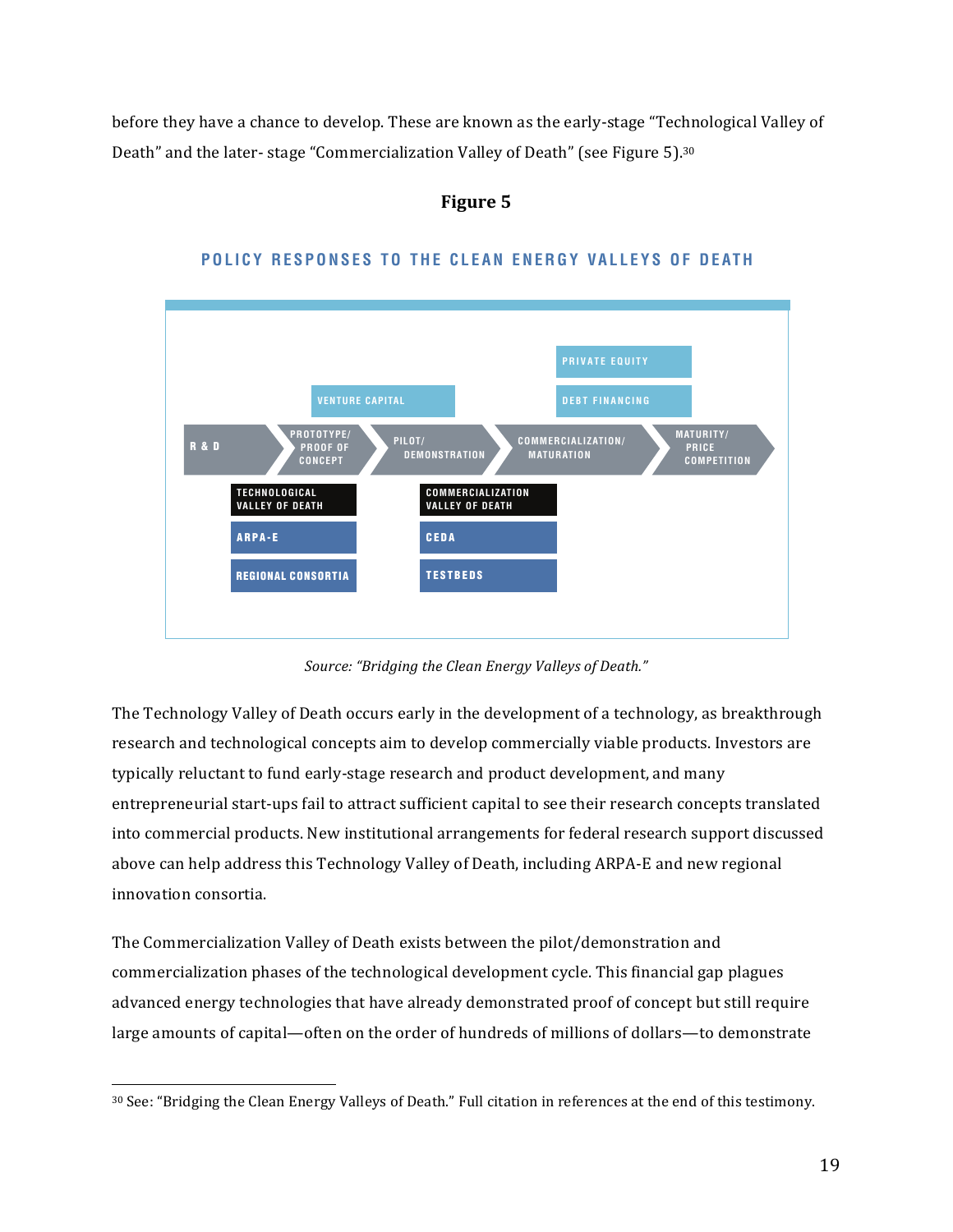before they have a chance to develop. These are known as the early-stage "Technological Valley of Death" and the later-stage "Commercialization Valley of Death" (see Figure 5).<sup>30</sup>

## **Figure 5**



## POLICY RESPONSES TO THE CLEAN ENERGY VALLEYS OF DEATH

Source: "Bridging the Clean Energy Valleys of Death."

The  $\sf Technology$  Valley of Death occurs early in the development of a technology, as breakthrough research and technological concepts aim to develop commercially viable products. Investors are typically reluctant to fund early-stage research and product development, and many entrepreneurial start-ups fail to attract sufficient capital to see their research concepts translated into commercial products. New institutional arrangements for federal research support discussed above can help address this Technology Valley of Death, including ARPA-E and new regional innovation consortia.

The Commercialization Valley of Death exists between the pilot/demonstration and commercialization phases of the technological development cycle. This financial gap plagues advanced energy technologies that have already demonstrated proof of concept but still require large amounts of capital—often on the order of hundreds of millions of dollars—to demonstrate

<sup>30</sup> See: "Bridging the Clean Energy Valleys of Death." Full citation in references at the end of this testimony.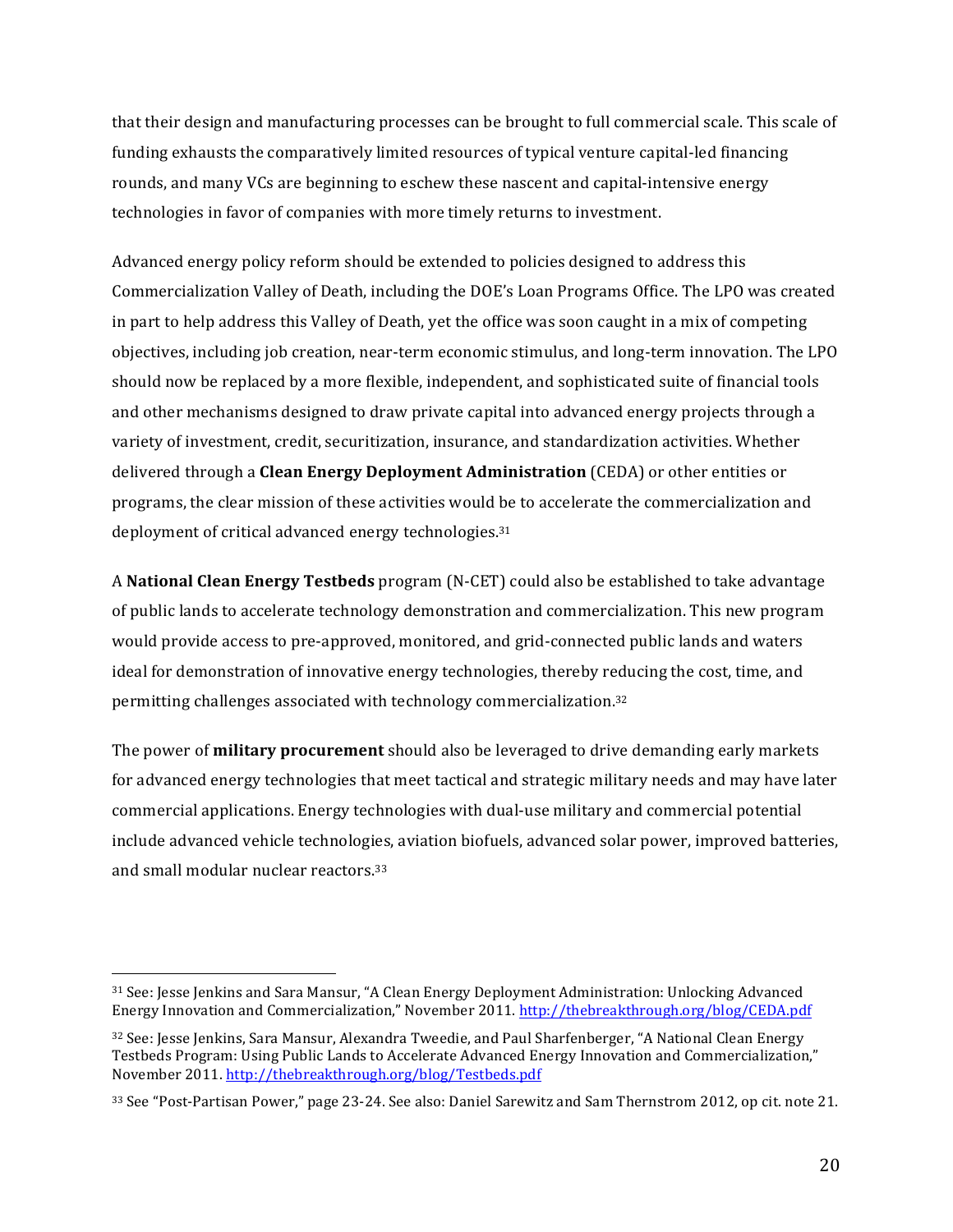that their design and manufacturing processes can be brought to full commercial scale. This scale of funding exhausts the comparatively limited resources of typical venture capital-led financing rounds, and many VCs are beginning to eschew these nascent and capital-intensive energy technologies in favor of companies with more timely returns to investment.

Advanced energy policy reform should be extended to policies designed to address this Commercialization Valley of Death, including the DOE's Loan Programs Office. The LPO was created in part to help address this Valley of Death, yet the office was soon caught in a mix of competing objectives, including job creation, near-term economic stimulus, and long-term innovation. The LPO should now be replaced by a more flexible, independent, and sophisticated suite of financial tools and other mechanisms designed to draw private capital into advanced energy projects through a variety of investment, credit, securitization, insurance, and standardization activities. Whether delivered through a **Clean Energy Deployment Administration** (CEDA) or other entities or programs, the clear mission of these activities would be to accelerate the commercialization and deployment of critical advanced energy technologies.<sup>31</sup>

A **National Clean Energy Testbeds** program (N-CET) could also be established to take advantage of public lands to accelerate technology demonstration and commercialization. This new program would provide access to pre-approved, monitored, and grid-connected public lands and waters ideal for demonstration of innovative energy technologies, thereby reducing the cost, time, and permitting challenges associated with technology commercialization.<sup>32</sup>

The power of **military procurement** should also be leveraged to drive demanding early markets for advanced energy technologies that meet tactical and strategic military needs and may have later commercial applications. Energy technologies with dual-use military and commercial potential include advanced vehicle technologies, aviation biofuels, advanced solar power, improved batteries, and small modular nuclear reactors.<sup>33</sup>

<sup>31</sup> See: Jesse Jenkins and Sara Mansur, "A Clean Energy Deployment Administration: Unlocking Advanced Energy Innovation and Commercialization," November 2011. http://thebreakthrough.org/blog/CEDA.pdf

<sup>32</sup> See: Jesse Jenkins, Sara Mansur, Alexandra Tweedie, and Paul Sharfenberger, "A National Clean Energy Testbeds Program: Using Public Lands to Accelerate Advanced Energy Innovation and Commercialization." November 2011. http://thebreakthrough.org/blog/Testbeds.pdf

<sup>33</sup> See "Post-Partisan Power," page 23-24. See also: Daniel Sarewitz and Sam Thernstrom 2012, op cit. note 21.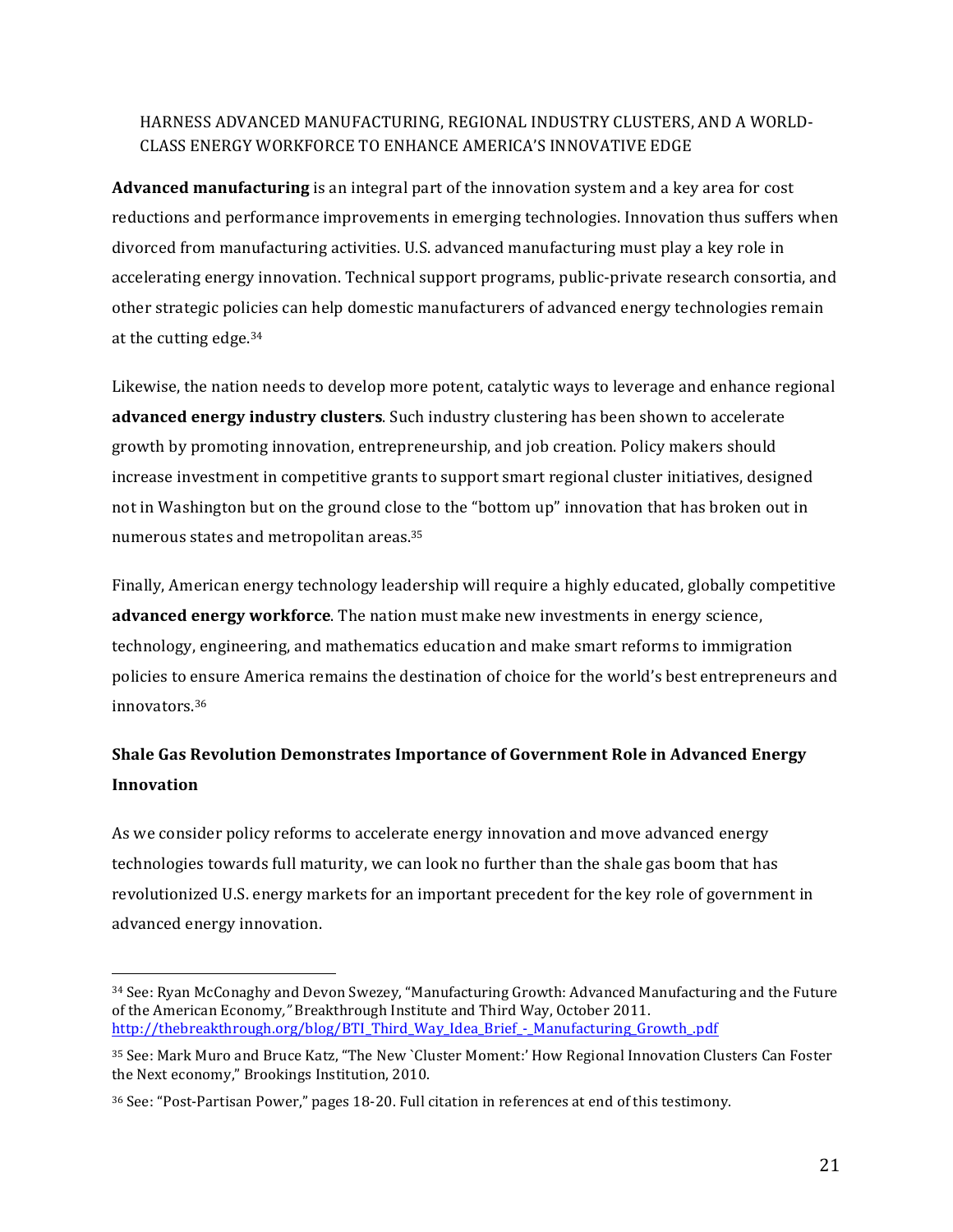## HARNESS ADVANCED MANUFACTURING, REGIONAL INDUSTRY CLUSTERS, AND A WORLD-CLASS ENERGY WORKFORCE TO ENHANCE AMERICA'S INNOVATIVE EDGE

**Advanced manufacturing** is an integral part of the innovation system and a key area for cost reductions and performance improvements in emerging technologies. Innovation thus suffers when divorced from manufacturing activities. U.S. advanced manufacturing must play a key role in accelerating energy innovation. Technical support programs, public-private research consortia, and other strategic policies can help domestic manufacturers of advanced energy technologies remain at the cutting edge. $34$ 

Likewise, the nation needs to develop more potent, catalytic ways to leverage and enhance regional **advanced energy industry clusters**. Such industry clustering has been shown to accelerate growth by promoting innovation, entrepreneurship, and job creation. Policy makers should increase investment in competitive grants to support smart regional cluster initiatives, designed not in Washington but on the ground close to the "bottom up" innovation that has broken out in numerous states and metropolitan areas.<sup>35</sup>

Finally, American energy technology leadership will require a highly educated, globally competitive **advanced energy workforce**. The nation must make new investments in energy science, technology, engineering, and mathematics education and make smart reforms to immigration policies to ensure America remains the destination of choice for the world's best entrepreneurs and innovators.36

# **Shale Gas Revolution Demonstrates Importance of Government Role in Advanced Energy Innovation**

As we consider policy reforms to accelerate energy innovation and move advanced energy technologies towards full maturity, we can look no further than the shale gas boom that has revolutionized U.S. energy markets for an important precedent for the key role of government in advanced energy innovation.

<sup>34</sup> See: Ryan McConaghy and Devon Swezey, "Manufacturing Growth: Advanced Manufacturing and the Future of the American Economy," Breakthrough Institute and Third Way, October 2011. http://thebreakthrough.org/blog/BTI\_Third\_Way\_Idea\_Brief\_-\_Manufacturing\_Growth\_.pdf

<sup>35</sup> See: Mark Muro and Bruce Katz, "The New `Cluster Moment:' How Regional Innovation Clusters Can Foster the Next economy," Brookings Institution, 2010.

<sup>&</sup>lt;sup>36</sup> See: "Post-Partisan Power," pages 18-20. Full citation in references at end of this testimony.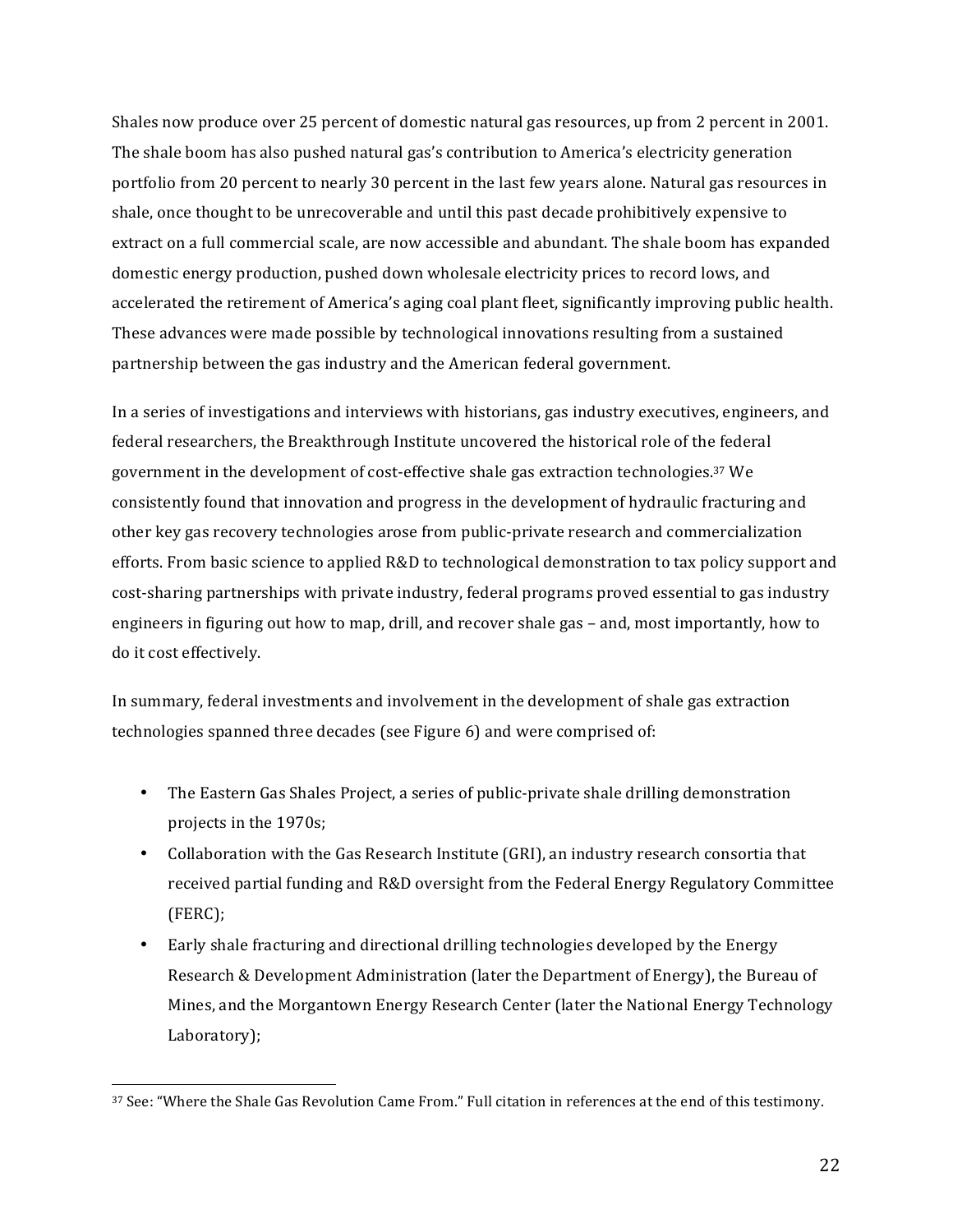Shales now produce over 25 percent of domestic natural gas resources, up from 2 percent in 2001. The shale boom has also pushed natural gas's contribution to America's electricity generation portfolio from 20 percent to nearly 30 percent in the last few years alone. Natural gas resources in shale, once thought to be unrecoverable and until this past decade prohibitively expensive to extract on a full commercial scale, are now accessible and abundant. The shale boom has expanded domestic energy production, pushed down wholesale electricity prices to record lows, and accelerated the retirement of America's aging coal plant fleet, significantly improving public health. These advances were made possible by technological innovations resulting from a sustained partnership between the gas industry and the American federal government.

In a series of investigations and interviews with historians, gas industry executives, engineers, and federal researchers, the Breakthrough Institute uncovered the historical role of the federal government in the development of cost-effective shale gas extraction technologies.<sup>37</sup> We consistently found that innovation and progress in the development of hydraulic fracturing and other key gas recovery technologies arose from public-private research and commercialization efforts. From basic science to applied R&D to technological demonstration to tax policy support and cost-sharing partnerships with private industry, federal programs proved essential to gas industry engineers in figuring out how to map, drill, and recover shale gas - and, most importantly, how to do it cost effectively.

In summary, federal investments and involvement in the development of shale gas extraction technologies spanned three decades (see Figure 6) and were comprised of:

- The Eastern Gas Shales Project, a series of public-private shale drilling demonstration projects in the 1970s;
- Collaboration with the Gas Research Institute (GRI), an industry research consortia that received partial funding and R&D oversight from the Federal Energy Regulatory Committee (FERC);
- Early shale fracturing and directional drilling technologies developed by the Energy Research & Development Administration (later the Department of Energy), the Bureau of Mines, and the Morgantown Energy Research Center (later the National Energy Technology Laboratory);

<sup>37</sup> See: "Where the Shale Gas Revolution Came From." Full citation in references at the end of this testimony.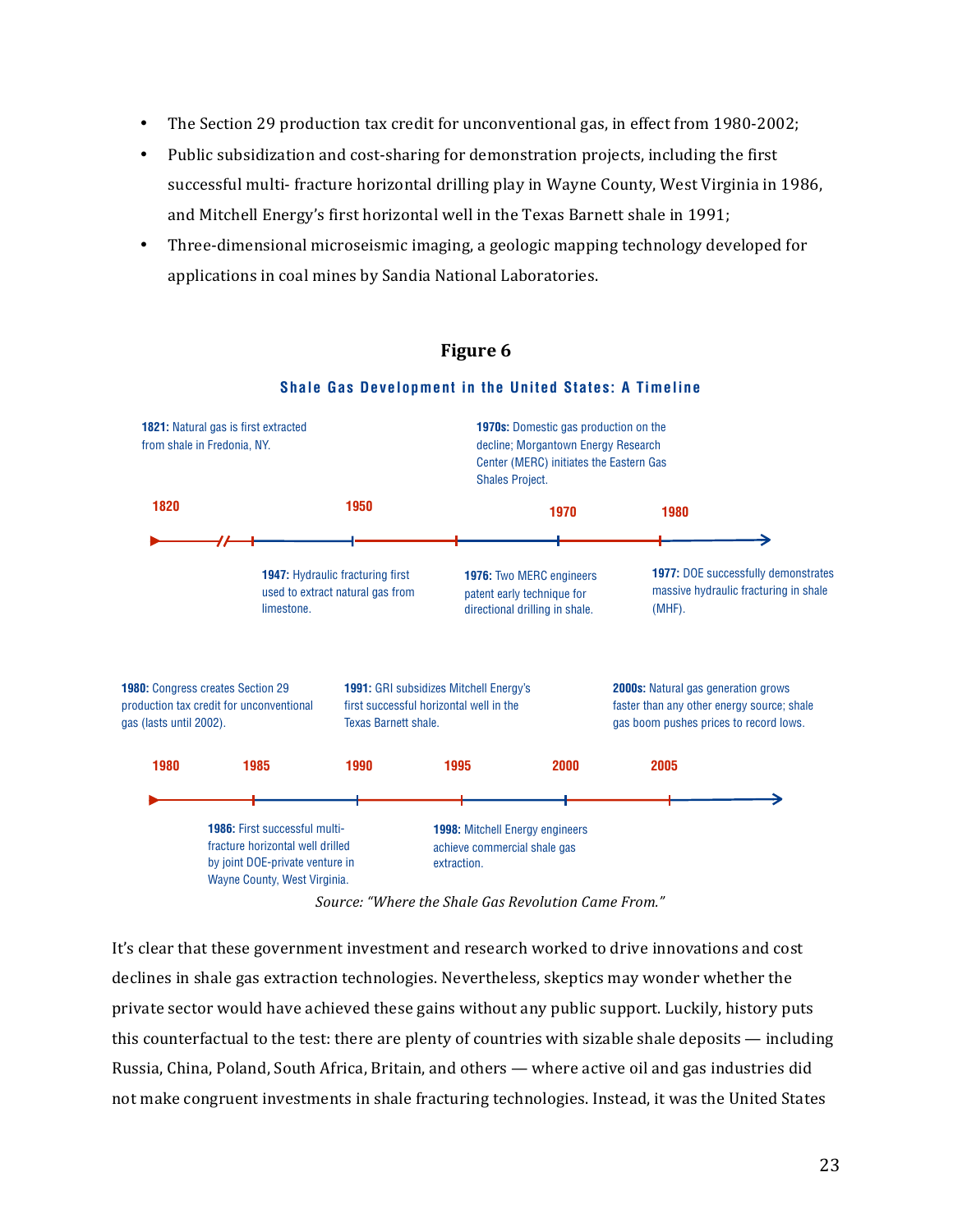- The Section 29 production tax credit for unconventional gas, in effect from 1980-2002;
- Public subsidization and cost-sharing for demonstration projects, including the first successful multi- fracture horizontal drilling play in Wayne County, West Virginia in 1986, and Mitchell Energy's first horizontal well in the Texas Barnett shale in 1991; horizontal well in the Texas Barnett shall in the Texas Barnett shall in 1991; the theory
- Three-dimensional microseismic imaging, a geologic mapping technology developed for applications in coal mines by Sandia National Laboratories.



## **i Figure 6 Figure 6**

**Shale Gas Development in the United States: A Timeline**

 $Source:$  "Where the Shale Gas Revolution Came From."

It's clear that these government investment and research worked to drive innovations and cost declines in shale gas extraction technologies. Nevertheless, skeptics may wonder whether the private sector would have achieved these gains without any public support. Luckily, history puts this counterfactual to the test: there are plenty of countries with sizable shale deposits  $-$  including Russia, China, Poland, South Africa, Britain, and others — where active oil and gas industries did not make congruent investments in shale fracturing technologies. Instead, it was the United States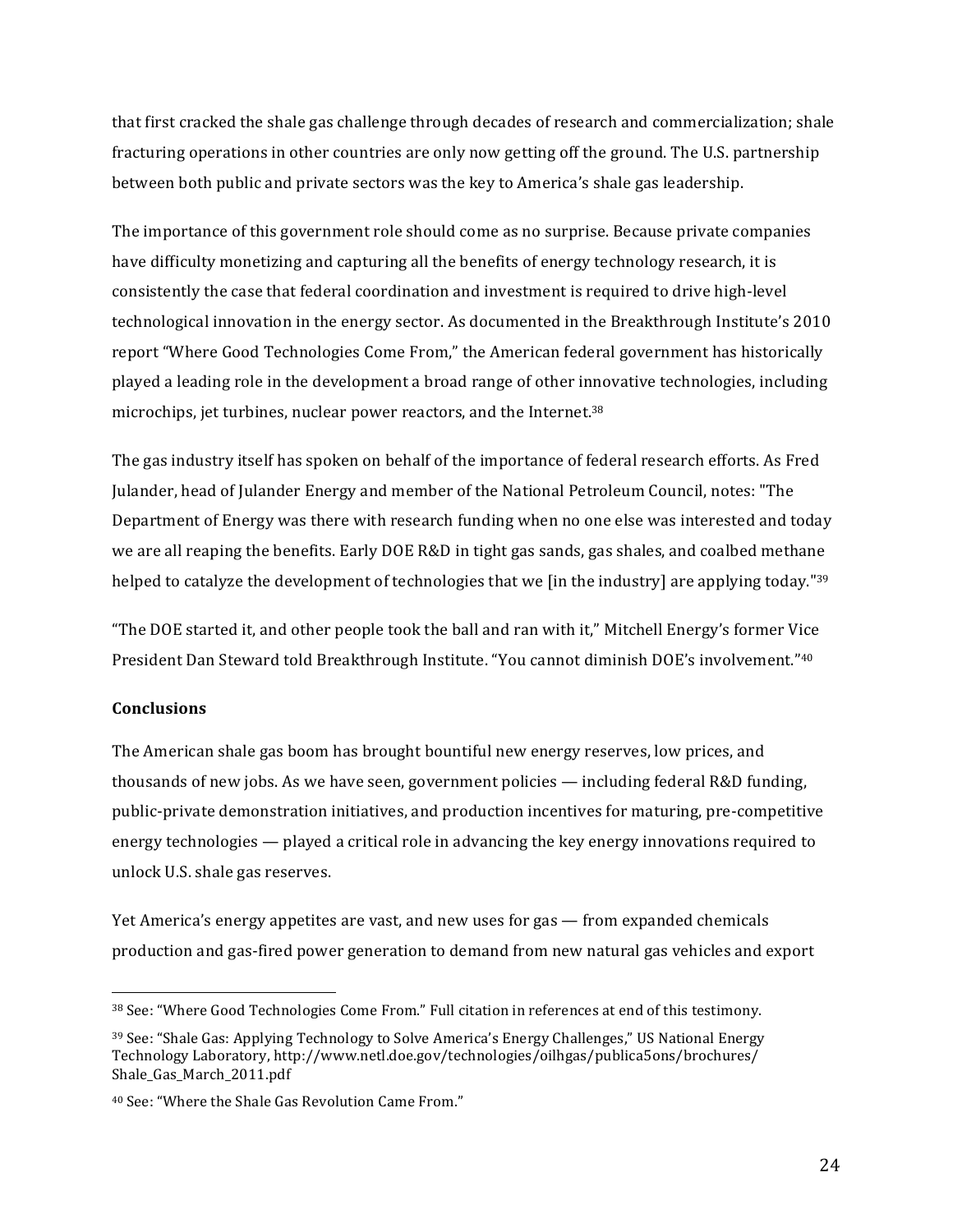that first cracked the shale gas challenge through decades of research and commercialization; shale fracturing operations in other countries are only now getting off the ground. The U.S. partnership between both public and private sectors was the key to America's shale gas leadership.

The importance of this government role should come as no surprise. Because private companies have difficulty monetizing and capturing all the benefits of energy technology research, it is consistently the case that federal coordination and investment is required to drive high-level technological innovation in the energy sector. As documented in the Breakthrough Institute's 2010 report "Where Good Technologies Come From," the American federal government has historically played a leading role in the development a broad range of other innovative technologies, including microchips, jet turbines, nuclear power reactors, and the Internet.<sup>38</sup>

The gas industry itself has spoken on behalf of the importance of federal research efforts. As Fred Julander, head of Julander Energy and member of the National Petroleum Council, notes: "The Department of Energy was there with research funding when no one else was interested and today we are all reaping the benefits. Early DOE R&D in tight gas sands, gas shales, and coalbed methane helped to catalyze the development of technologies that we [in the industry] are applying today."39

"The DOE started it, and other people took the ball and ran with it," Mitchell Energy's former Vice President Dan Steward told Breakthrough Institute. "You cannot diminish DOE's involvement."<sup>40</sup>

## **Conclusions**

The American shale gas boom has brought bountiful new energy reserves, low prices, and thousands of new jobs. As we have seen, government policies  $-$  including federal R&D funding, public-private demonstration initiatives, and production incentives for maturing, pre-competitive energy technologies — played a critical role in advancing the key energy innovations required to unlock U.S. shale gas reserves.

Yet America's energy appetites are vast, and new uses for gas — from expanded chemicals production and gas-fired power generation to demand from new natural gas vehicles and export

<sup>38</sup> See: "Where Good Technologies Come From." Full citation in references at end of this testimony.

<sup>&</sup>lt;sup>39</sup> See: "Shale Gas: Applying Technology to Solve America's Energy Challenges," US National Energy Technology Laboratory, http://www.netl.doe.gov/technologies/oilhgas/publica5ons/brochures/ Shale\_Gas\_March\_2011.pdf 

<sup>&</sup>lt;sup>40</sup> See: "Where the Shale Gas Revolution Came From."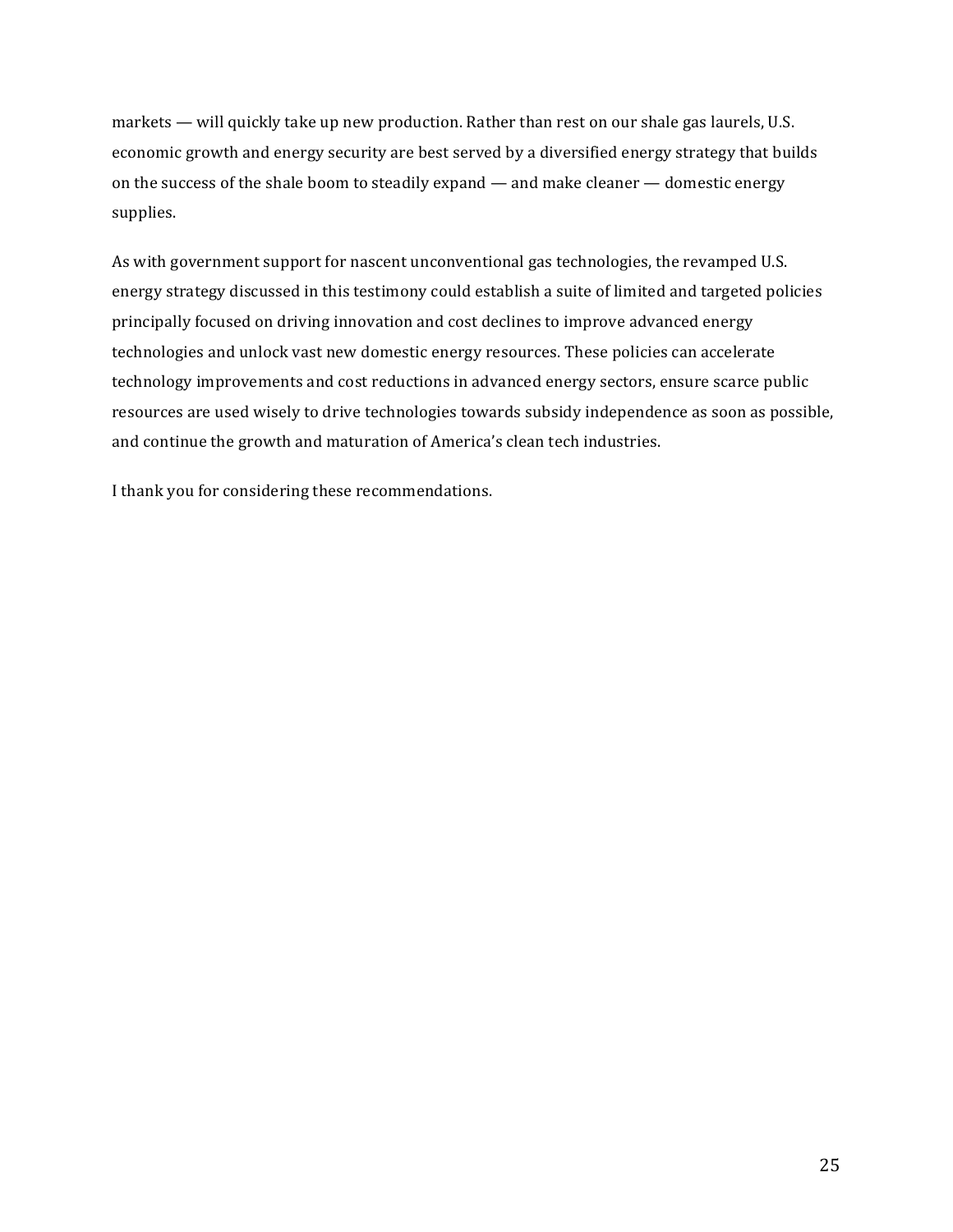markets — will quickly take up new production. Rather than rest on our shale gas laurels, U.S. economic growth and energy security are best served by a diversified energy strategy that builds on the success of the shale boom to steadily expand  $-$  and make cleaner  $-$  domestic energy supplies.

As with government support for nascent unconventional gas technologies, the revamped U.S. energy strategy discussed in this testimony could establish a suite of limited and targeted policies principally focused on driving innovation and cost declines to improve advanced energy technologies and unlock vast new domestic energy resources. These policies can accelerate technology improvements and cost reductions in advanced energy sectors, ensure scarce public resources are used wisely to drive technologies towards subsidy independence as soon as possible, and continue the growth and maturation of America's clean tech industries.

I thank you for considering these recommendations.